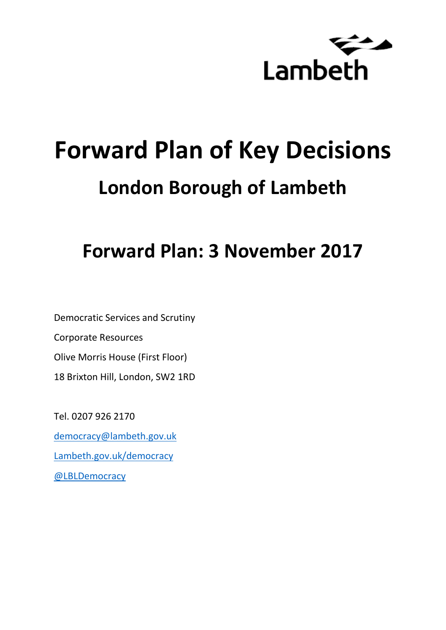

# **Forward Plan of Key Decisions London Borough of Lambeth**

# **Forward Plan: 3 November 2017**

Democratic Services and Scrutiny Corporate Resources Olive Morris House (First Floor) 18 Brixton Hill, London, SW2 1RD

Tel. 0207 926 2170 [democracy@lambeth.gov.uk](mailto:democracy@lambeth.gov.uk) [Lambeth.gov.uk/democracy](https://www.lambeth.gov.uk/elections-and-council/meetings-minutes-and-agendas/getting-involved-in-decision-making-guide) [@LBLDemocracy](https://twitter.com/LBLDemocracy?lang=en)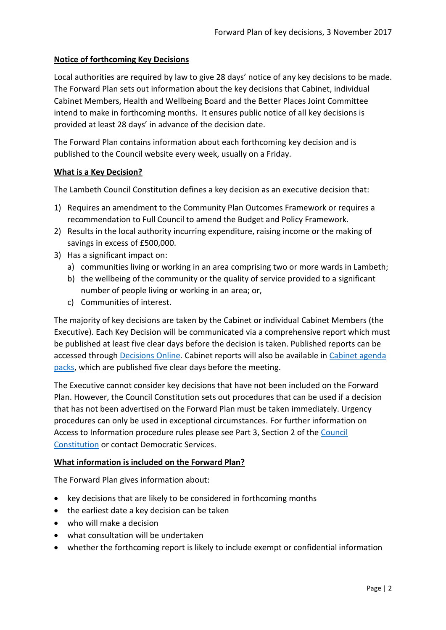#### **Notice of forthcoming Key Decisions**

Local authorities are required by law to give 28 days' notice of any key decisions to be made. The Forward Plan sets out information about the key decisions that Cabinet, individual Cabinet Members, Health and Wellbeing Board and the Better Places Joint Committee intend to make in forthcoming months. It ensures public notice of all key decisions is provided at least 28 days' in advance of the decision date.

The Forward Plan contains information about each forthcoming key decision and is published to the Council website every week, usually on a Friday.

#### **What is a Key Decision?**

The Lambeth Council Constitution defines a key decision as an executive decision that:

- 1) Requires an amendment to the Community Plan Outcomes Framework or requires a recommendation to Full Council to amend the Budget and Policy Framework.
- 2) Results in the local authority incurring expenditure, raising income or the making of savings in excess of £500,000.
- 3) Has a significant impact on:
	- a) communities living or working in an area comprising two or more wards in Lambeth;
	- b) the wellbeing of the community or the quality of service provided to a significant number of people living or working in an area; or,
	- c) Communities of interest.

The majority of key decisions are taken by the Cabinet or individual Cabinet Members (the Executive). Each Key Decision will be communicated via a comprehensive report which must be published at least five clear days before the decision is taken. Published reports can be accessed through [Decisions Online.](http://moderngov.lambeth.gov.uk/mgDelegatedDecisions.aspx?bcr=1&DM=0&DS=2&K=0&DR=&V=0) Cabinet reports will also be available in [Cabinet agenda](https://moderngov.lambeth.gov.uk/ieListMeetings.aspx?CommitteeId=225)  [packs,](https://moderngov.lambeth.gov.uk/ieListMeetings.aspx?CommitteeId=225) which are published five clear days before the meeting.

The Executive cannot consider key decisions that have not been included on the Forward Plan. However, the Council Constitution sets out procedures that can be used if a decision that has not been advertised on the Forward Plan must be taken immediately. Urgency procedures can only be used in exceptional circumstances. For further information on Access to Information procedure rules please see Part 3, Section 2 of the [Council](http://moderngov.lambeth.gov.uk/ieListMeetings.aspx?CId=738&info=1&MD=Constitution)  [Constitution](http://moderngov.lambeth.gov.uk/ieListMeetings.aspx?CId=738&info=1&MD=Constitution) or contact Democratic Services.

#### **What information is included on the Forward Plan?**

The Forward Plan gives information about:

- key decisions that are likely to be considered in forthcoming months
- the earliest date a key decision can be taken
- who will make a decision
- what consultation will be undertaken
- whether the forthcoming report is likely to include exempt or confidential information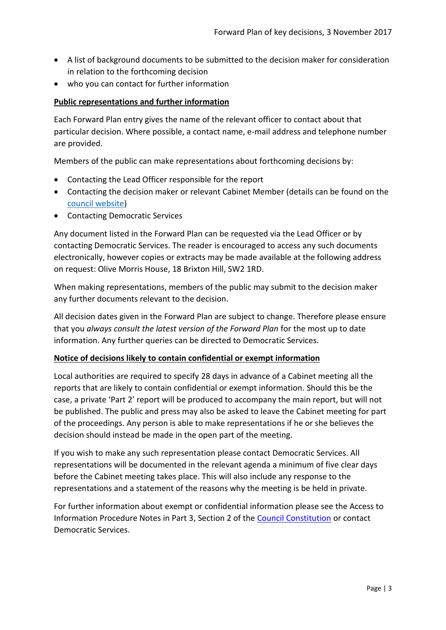- A list of background documents to be submitted to the decision maker for consideration in relation to the forthcoming decision
- who you can contact for further information

#### **Public representations and further information**

Each Forward Plan entry gives the name of the relevant officer to contact about that particular decision. Where possible, a contact name, e-mail address and telephone number are provided.

Members of the public can make representations about forthcoming decisions by:

- Contacting the Lead Officer responsible for the report
- Contacting the decision maker or relevant Cabinet Member (details can be found on the [council website\)](http://moderngov.lambeth.gov.uk/mgMemberIndex.aspx?bcr=1)
- Contacting Democratic Services

Any document listed in the Forward Plan can be requested via the Lead Officer or by contacting Democratic Services. The reader is encouraged to access any such documents electronically, however copies or extracts may be made available at the following address on request: Olive Morris House, 18 Brixton Hill, SW2 1RD.

When making representations, members of the public may submit to the decision maker any further documents relevant to the decision.

All decision dates given in the Forward Plan are subject to change. Therefore please ensure that you *always consult the latest version of the Forward Plan* for the most up to date information. Any further queries can be directed to Democratic Services.

#### **Notice of decisions likely to contain confidential or exempt information**

Local authorities are required to specify 28 days in advance of a Cabinet meeting all the reports that are likely to contain confidential or exempt information. Should this be the case, a private 'Part 2' report will be produced to accompany the main report, but will not be published. The public and press may also be asked to leave the Cabinet meeting for part of the proceedings. Any person is able to make representations if he or she believes the decision should instead be made in the open part of the meeting.

If you wish to make any such representation please contact Democratic Services. All representations will be documented in the relevant agenda a minimum of five clear days before the Cabinet meeting takes place. This will also include any response to the representations and a statement of the reasons why the meeting is be held in private.

For further information about exempt or confidential information please see the Access to Information Procedure Notes in Part 3, Section 2 of the [Council Constitution](http://www.lambeth.gov.uk/sites/default/files/ec-Council-Constitution-2014-15-approved-with-changes-November-2014.pdf) or contact Democratic Services.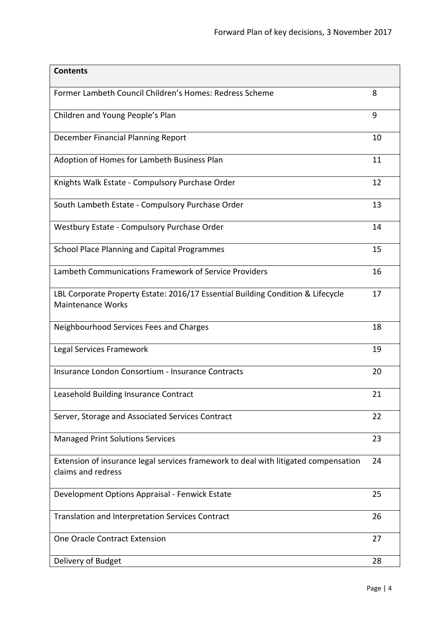| <b>Contents</b>                                                                                             |    |
|-------------------------------------------------------------------------------------------------------------|----|
| Former Lambeth Council Children's Homes: Redress Scheme                                                     | 8  |
| Children and Young People's Plan                                                                            | 9  |
| December Financial Planning Report                                                                          | 10 |
| Adoption of Homes for Lambeth Business Plan                                                                 | 11 |
| Knights Walk Estate - Compulsory Purchase Order                                                             | 12 |
| South Lambeth Estate - Compulsory Purchase Order                                                            | 13 |
| Westbury Estate - Compulsory Purchase Order                                                                 | 14 |
| <b>School Place Planning and Capital Programmes</b>                                                         | 15 |
| Lambeth Communications Framework of Service Providers                                                       | 16 |
| LBL Corporate Property Estate: 2016/17 Essential Building Condition & Lifecycle<br><b>Maintenance Works</b> | 17 |
| Neighbourhood Services Fees and Charges                                                                     | 18 |
| Legal Services Framework                                                                                    | 19 |
| Insurance London Consortium - Insurance Contracts                                                           | 20 |
| Leasehold Building Insurance Contract                                                                       | 21 |
| Server, Storage and Associated Services Contract                                                            | 22 |
| <b>Managed Print Solutions Services</b>                                                                     | 23 |
| Extension of insurance legal services framework to deal with litigated compensation<br>claims and redress   | 24 |
| Development Options Appraisal - Fenwick Estate                                                              | 25 |
| Translation and Interpretation Services Contract                                                            | 26 |
| One Oracle Contract Extension                                                                               | 27 |
| Delivery of Budget                                                                                          | 28 |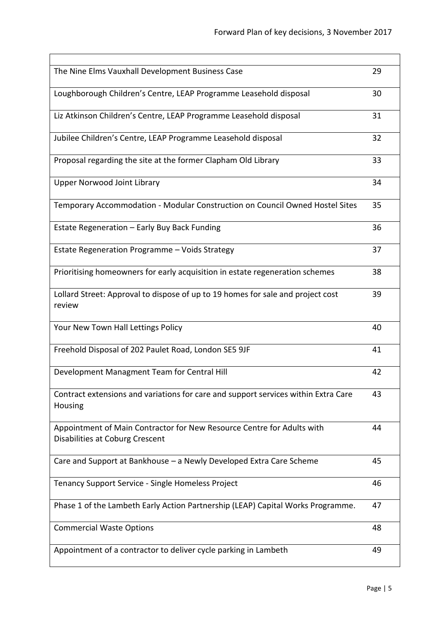| The Nine Elms Vauxhall Development Business Case                                                          | 29 |
|-----------------------------------------------------------------------------------------------------------|----|
| Loughborough Children's Centre, LEAP Programme Leasehold disposal                                         | 30 |
| Liz Atkinson Children's Centre, LEAP Programme Leasehold disposal                                         | 31 |
| Jubilee Children's Centre, LEAP Programme Leasehold disposal                                              | 32 |
| Proposal regarding the site at the former Clapham Old Library                                             | 33 |
| Upper Norwood Joint Library                                                                               | 34 |
| Temporary Accommodation - Modular Construction on Council Owned Hostel Sites                              | 35 |
| Estate Regeneration - Early Buy Back Funding                                                              | 36 |
| Estate Regeneration Programme - Voids Strategy                                                            | 37 |
| Prioritising homeowners for early acquisition in estate regeneration schemes                              | 38 |
| Lollard Street: Approval to dispose of up to 19 homes for sale and project cost<br>review                 | 39 |
| Your New Town Hall Lettings Policy                                                                        | 40 |
| Freehold Disposal of 202 Paulet Road, London SE5 9JF                                                      | 41 |
| Development Managment Team for Central Hill                                                               | 42 |
| Contract extensions and variations for care and support services within Extra Care<br>Housing             | 43 |
| Appointment of Main Contractor for New Resource Centre for Adults with<br>Disabilities at Coburg Crescent | 44 |
| Care and Support at Bankhouse - a Newly Developed Extra Care Scheme                                       | 45 |
| Tenancy Support Service - Single Homeless Project                                                         | 46 |
| Phase 1 of the Lambeth Early Action Partnership (LEAP) Capital Works Programme.                           | 47 |
| <b>Commercial Waste Options</b>                                                                           | 48 |
| Appointment of a contractor to deliver cycle parking in Lambeth                                           | 49 |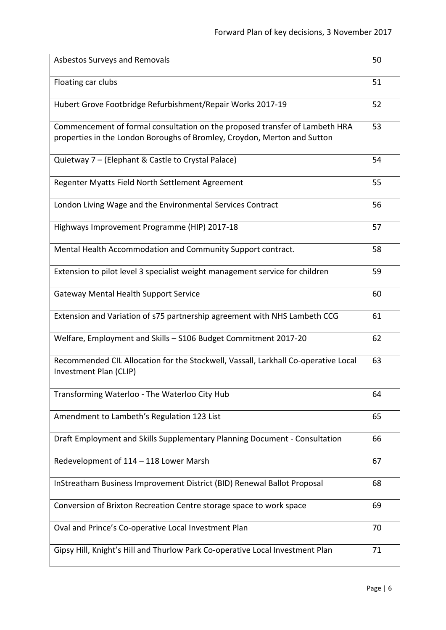| Asbestos Surveys and Removals                                                                                                                           | 50 |
|---------------------------------------------------------------------------------------------------------------------------------------------------------|----|
| Floating car clubs                                                                                                                                      | 51 |
| Hubert Grove Footbridge Refurbishment/Repair Works 2017-19                                                                                              | 52 |
| Commencement of formal consultation on the proposed transfer of Lambeth HRA<br>properties in the London Boroughs of Bromley, Croydon, Merton and Sutton | 53 |
| Quietway 7 - (Elephant & Castle to Crystal Palace)                                                                                                      | 54 |
| Regenter Myatts Field North Settlement Agreement                                                                                                        | 55 |
| London Living Wage and the Environmental Services Contract                                                                                              | 56 |
| Highways Improvement Programme (HIP) 2017-18                                                                                                            | 57 |
| Mental Health Accommodation and Community Support contract.                                                                                             | 58 |
| Extension to pilot level 3 specialist weight management service for children                                                                            | 59 |
| <b>Gateway Mental Health Support Service</b>                                                                                                            | 60 |
| Extension and Variation of s75 partnership agreement with NHS Lambeth CCG                                                                               | 61 |
| Welfare, Employment and Skills - S106 Budget Commitment 2017-20                                                                                         | 62 |
| Recommended CIL Allocation for the Stockwell, Vassall, Larkhall Co-operative Local<br>Investment Plan (CLIP)                                            | 63 |
| Transforming Waterloo - The Waterloo City Hub                                                                                                           | 64 |
| Amendment to Lambeth's Regulation 123 List                                                                                                              | 65 |
| Draft Employment and Skills Supplementary Planning Document - Consultation                                                                              | 66 |
| Redevelopment of 114 - 118 Lower Marsh                                                                                                                  | 67 |
| InStreatham Business Improvement District (BID) Renewal Ballot Proposal                                                                                 | 68 |
| Conversion of Brixton Recreation Centre storage space to work space                                                                                     | 69 |
| Oval and Prince's Co-operative Local Investment Plan                                                                                                    | 70 |
| Gipsy Hill, Knight's Hill and Thurlow Park Co-operative Local Investment Plan                                                                           | 71 |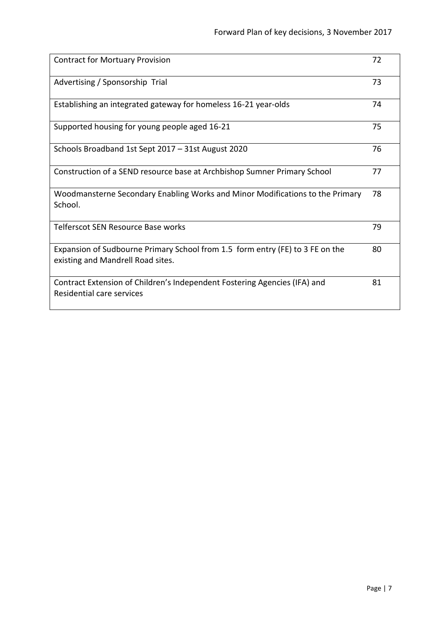| <b>Contract for Mortuary Provision</b>                                                                             | 72 |
|--------------------------------------------------------------------------------------------------------------------|----|
| Advertising / Sponsorship Trial                                                                                    | 73 |
| Establishing an integrated gateway for homeless 16-21 year-olds                                                    | 74 |
| Supported housing for young people aged 16-21                                                                      | 75 |
| Schools Broadband 1st Sept 2017 - 31st August 2020                                                                 | 76 |
| Construction of a SEND resource base at Archbishop Sumner Primary School                                           | 77 |
| Woodmansterne Secondary Enabling Works and Minor Modifications to the Primary<br>School.                           | 78 |
| Telferscot SEN Resource Base works                                                                                 | 79 |
| Expansion of Sudbourne Primary School from 1.5 form entry (FE) to 3 FE on the<br>existing and Mandrell Road sites. | 80 |
| Contract Extension of Children's Independent Fostering Agencies (IFA) and<br>Residential care services             | 81 |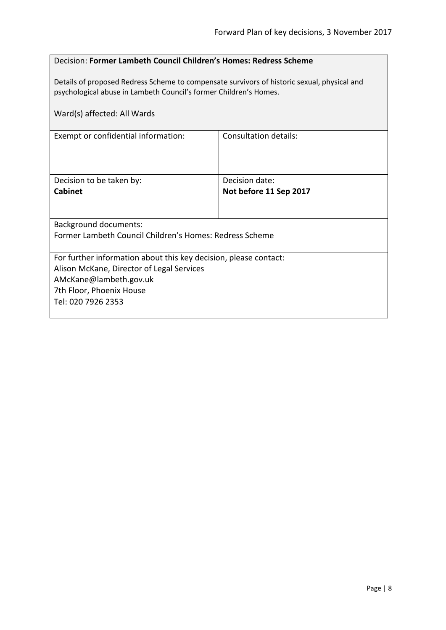#### <span id="page-7-0"></span>Decision: **Former Lambeth Council Children's Homes: Redress Scheme**

Details of proposed Redress Scheme to compensate survivors of historic sexual, physical and psychological abuse in Lambeth Council's former Children's Homes.

| Ward(s) affected: All Wards                                      |                              |  |
|------------------------------------------------------------------|------------------------------|--|
| Exempt or confidential information:                              | <b>Consultation details:</b> |  |
| Decision to be taken by:                                         | Decision date:               |  |
| Cabinet                                                          | Not before 11 Sep 2017       |  |
|                                                                  |                              |  |
| Background documents:                                            |                              |  |
| Former Lambeth Council Children's Homes: Redress Scheme          |                              |  |
| For further information about this key decision, please contact: |                              |  |
| Alison McKane, Director of Legal Services                        |                              |  |
| AMcKane@lambeth.gov.uk                                           |                              |  |
| 7th Floor, Phoenix House<br>Tel: 020 7926 2353                   |                              |  |
|                                                                  |                              |  |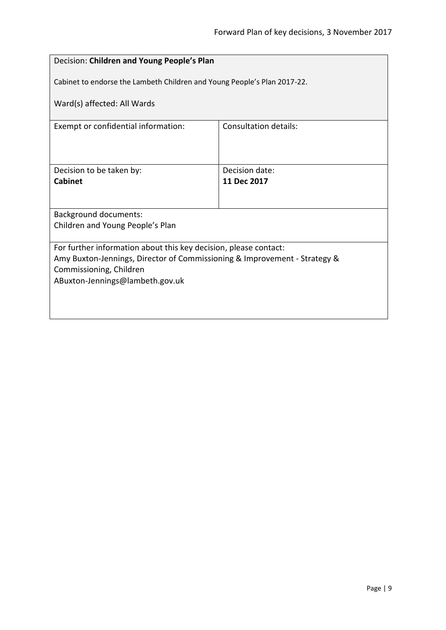<span id="page-8-0"></span>

| Decision: Children and Young People's Plan                                |                       |  |
|---------------------------------------------------------------------------|-----------------------|--|
| Cabinet to endorse the Lambeth Children and Young People's Plan 2017-22.  |                       |  |
| Ward(s) affected: All Wards                                               |                       |  |
| Exempt or confidential information:                                       | Consultation details: |  |
|                                                                           |                       |  |
| Decision to be taken by:                                                  | Decision date:        |  |
| Cabinet                                                                   | 11 Dec 2017           |  |
|                                                                           |                       |  |
| <b>Background documents:</b>                                              |                       |  |
| Children and Young People's Plan                                          |                       |  |
| For further information about this key decision, please contact:          |                       |  |
| Amy Buxton-Jennings, Director of Commissioning & Improvement - Strategy & |                       |  |
| Commissioning, Children                                                   |                       |  |
| ABuxton-Jennings@lambeth.gov.uk                                           |                       |  |
|                                                                           |                       |  |
|                                                                           |                       |  |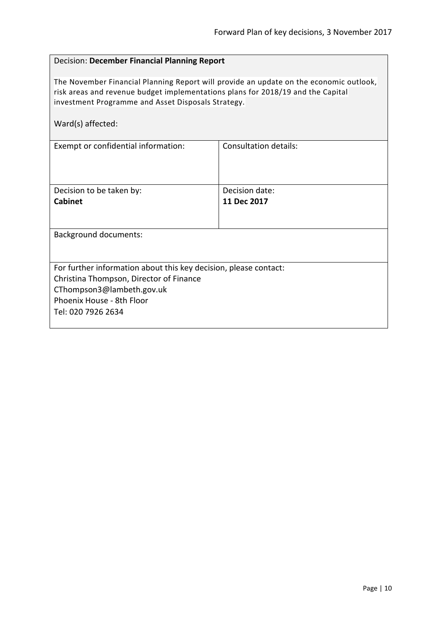#### <span id="page-9-0"></span>Decision: **December Financial Planning Report**

The November Financial Planning Report will provide an update on the economic outlook, risk areas and revenue budget implementations plans for 2018/19 and the Capital investment Programme and Asset Disposals Strategy.

Ward(s) affected:

| Consultation details:                                            |
|------------------------------------------------------------------|
|                                                                  |
|                                                                  |
|                                                                  |
| Decision date:                                                   |
| 11 Dec 2017                                                      |
|                                                                  |
|                                                                  |
|                                                                  |
|                                                                  |
|                                                                  |
| For further information about this key decision, please contact: |
|                                                                  |
|                                                                  |
|                                                                  |
|                                                                  |
|                                                                  |
|                                                                  |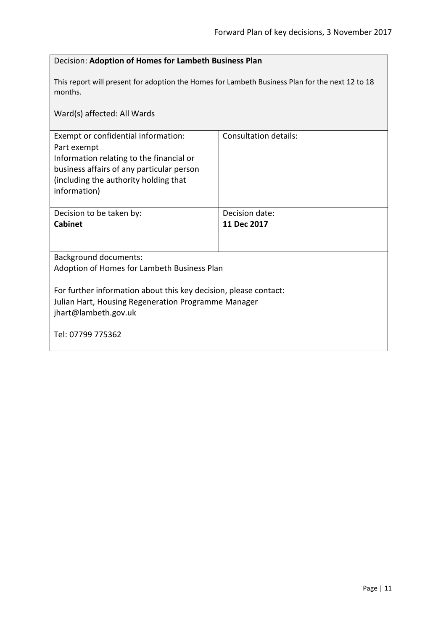<span id="page-10-0"></span>

| Decision: Adoption of Homes for Lambeth Business Plan                                                                                                                                                |                               |  |
|------------------------------------------------------------------------------------------------------------------------------------------------------------------------------------------------------|-------------------------------|--|
| This report will present for adoption the Homes for Lambeth Business Plan for the next 12 to 18<br>months.                                                                                           |                               |  |
| Ward(s) affected: All Wards                                                                                                                                                                          |                               |  |
| Exempt or confidential information:<br>Part exempt<br>Information relating to the financial or<br>business affairs of any particular person<br>(including the authority holding that<br>information) | <b>Consultation details:</b>  |  |
| Decision to be taken by:<br>Cabinet                                                                                                                                                                  | Decision date:<br>11 Dec 2017 |  |
| <b>Background documents:</b><br>Adoption of Homes for Lambeth Business Plan                                                                                                                          |                               |  |
| For further information about this key decision, please contact:<br>Julian Hart, Housing Regeneration Programme Manager<br>jhart@lambeth.gov.uk<br>Tel: 07799 775362                                 |                               |  |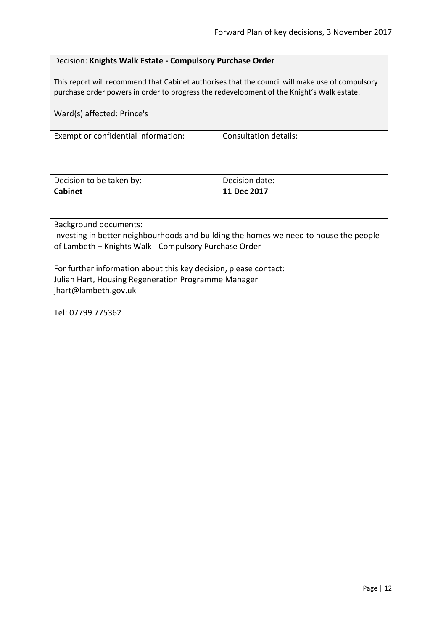#### <span id="page-11-0"></span>Decision: **Knights Walk Estate - Compulsory Purchase Order**

This report will recommend that Cabinet authorises that the council will make use of compulsory purchase order powers in order to progress the redevelopment of the Knight's Walk estate.

| Ward(s) affected: Prince's                                                            |                       |  |
|---------------------------------------------------------------------------------------|-----------------------|--|
| Exempt or confidential information:                                                   | Consultation details: |  |
| Decision to be taken by:                                                              | Decision date:        |  |
| <b>Cabinet</b>                                                                        | 11 Dec 2017           |  |
|                                                                                       |                       |  |
| <b>Background documents:</b>                                                          |                       |  |
| Investing in better neighbourhoods and building the homes we need to house the people |                       |  |
| of Lambeth - Knights Walk - Compulsory Purchase Order                                 |                       |  |
|                                                                                       |                       |  |
| For further information about this key decision, please contact:                      |                       |  |
| Julian Hart, Housing Regeneration Programme Manager                                   |                       |  |
| jhart@lambeth.gov.uk                                                                  |                       |  |
|                                                                                       |                       |  |
| Tel: 07799 775362                                                                     |                       |  |
|                                                                                       |                       |  |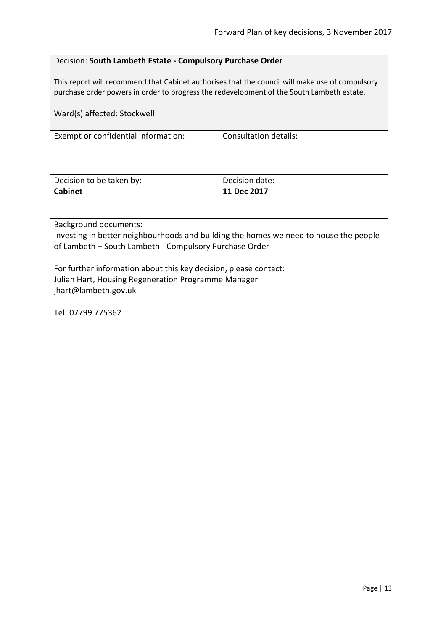#### <span id="page-12-0"></span>Decision: **South Lambeth Estate - Compulsory Purchase Order**

This report will recommend that Cabinet authorises that the council will make use of compulsory purchase order powers in order to progress the redevelopment of the South Lambeth estate.

| Ward(s) affected: Stockwell                                                           |                       |
|---------------------------------------------------------------------------------------|-----------------------|
| Exempt or confidential information:                                                   | Consultation details: |
| Decision to be taken by:                                                              | Decision date:        |
| <b>Cabinet</b>                                                                        | 11 Dec 2017           |
|                                                                                       |                       |
| <b>Background documents:</b>                                                          |                       |
| Investing in better neighbourhoods and building the homes we need to house the people |                       |
| of Lambeth – South Lambeth - Compulsory Purchase Order                                |                       |
| For further information about this key decision, please contact:                      |                       |
| Julian Hart, Housing Regeneration Programme Manager                                   |                       |
| jhart@lambeth.gov.uk                                                                  |                       |
| Tel: 07799 775362                                                                     |                       |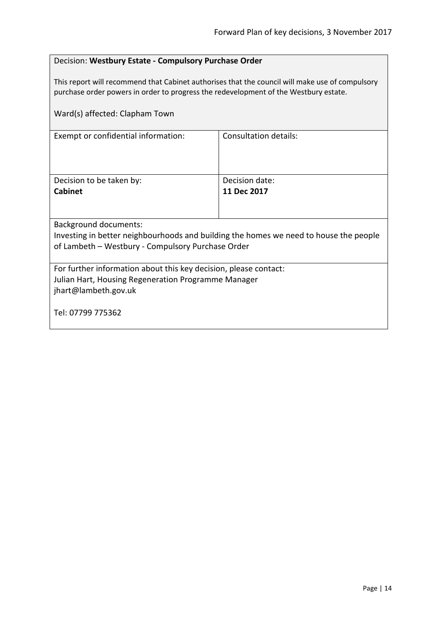#### <span id="page-13-0"></span>Decision: **Westbury Estate - Compulsory Purchase Order**

This report will recommend that Cabinet authorises that the council will make use of compulsory purchase order powers in order to progress the redevelopment of the Westbury estate.

Ward(s) affected: Clapham Town Exempt or confidential information: Consultation details: Decision to be taken by: **Cabinet** Decision date: **11 Dec 2017** Background documents: Investing in better neighbourhoods and building the homes we need to house the people of Lambeth – Westbury - Compulsory Purchase Order For further information about this key decision, please contact: Julian Hart, Housing Regeneration Programme Manager jhart@lambeth.gov.uk Tel: 07799 775362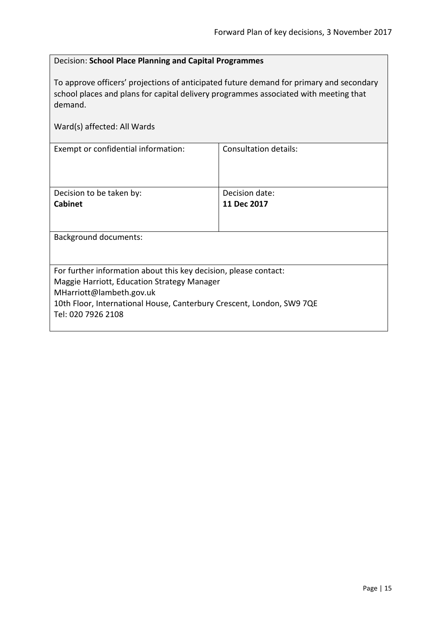#### <span id="page-14-0"></span>Decision: **School Place Planning and Capital Programmes**

To approve officers' projections of anticipated future demand for primary and secondary school places and plans for capital delivery programmes associated with meeting that demand.

| Ward(s) affected: All Wards                                           |                       |
|-----------------------------------------------------------------------|-----------------------|
| Exempt or confidential information:                                   | Consultation details: |
| Decision to be taken by:                                              | Decision date:        |
| <b>Cabinet</b>                                                        | 11 Dec 2017           |
| <b>Background documents:</b>                                          |                       |
| For further information about this key decision, please contact:      |                       |
| Maggie Harriott, Education Strategy Manager                           |                       |
| MHarriott@lambeth.gov.uk                                              |                       |
| 10th Floor, International House, Canterbury Crescent, London, SW9 7QE |                       |
| Tel: 020 7926 2108                                                    |                       |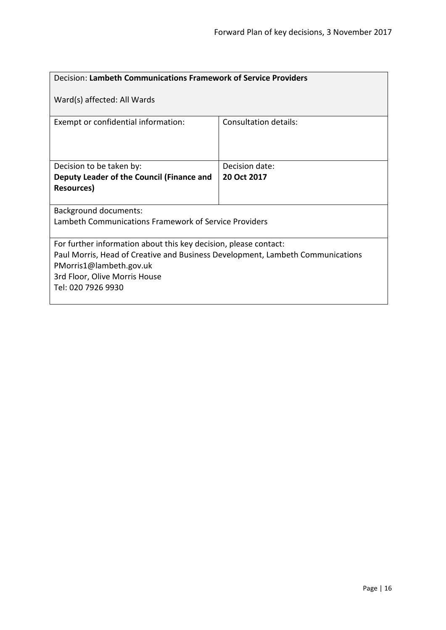<span id="page-15-0"></span>

| Decision: Lambeth Communications Framework of Service Providers                                                                                                                                                                      |                              |  |
|--------------------------------------------------------------------------------------------------------------------------------------------------------------------------------------------------------------------------------------|------------------------------|--|
| Ward(s) affected: All Wards                                                                                                                                                                                                          |                              |  |
| Exempt or confidential information:                                                                                                                                                                                                  | <b>Consultation details:</b> |  |
| Decision to be taken by:                                                                                                                                                                                                             | Decision date:               |  |
| Deputy Leader of the Council (Finance and                                                                                                                                                                                            | 20 Oct 2017                  |  |
| <b>Resources</b> )                                                                                                                                                                                                                   |                              |  |
| Background documents:<br>Lambeth Communications Framework of Service Providers                                                                                                                                                       |                              |  |
| For further information about this key decision, please contact:<br>Paul Morris, Head of Creative and Business Development, Lambeth Communications<br>PMorris1@lambeth.gov.uk<br>3rd Floor, Olive Morris House<br>Tel: 020 7926 9930 |                              |  |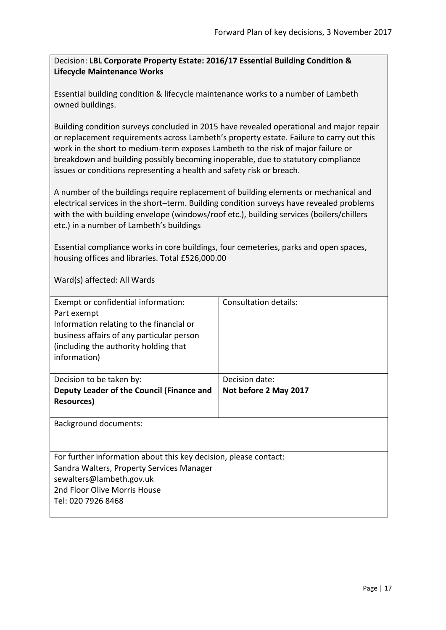<span id="page-16-0"></span>Decision: **LBL Corporate Property Estate: 2016/17 Essential Building Condition & Lifecycle Maintenance Works**

Essential building condition & lifecycle maintenance works to a number of Lambeth owned buildings.

Building condition surveys concluded in 2015 have revealed operational and major repair or replacement requirements across Lambeth's property estate. Failure to carry out this work in the short to medium-term exposes Lambeth to the risk of major failure or breakdown and building possibly becoming inoperable, due to statutory compliance issues or conditions representing a health and safety risk or breach.

A number of the buildings require replacement of building elements or mechanical and electrical services in the short–term. Building condition surveys have revealed problems with the with building envelope (windows/roof etc.), building services (boilers/chillers etc.) in a number of Lambeth's buildings

Essential compliance works in core buildings, four cemeteries, parks and open spaces, housing offices and libraries. Total £526,000.00

| Exempt or confidential information:<br>Part exempt<br>Information relating to the financial or<br>business affairs of any particular person<br>(including the authority holding that<br>information) | Consultation details: |
|------------------------------------------------------------------------------------------------------------------------------------------------------------------------------------------------------|-----------------------|
| Decision to be taken by:                                                                                                                                                                             | Decision date:        |
| Deputy Leader of the Council (Finance and                                                                                                                                                            | Not before 2 May 2017 |
| <b>Resources</b> )                                                                                                                                                                                   |                       |
|                                                                                                                                                                                                      |                       |
| Background documents:                                                                                                                                                                                |                       |
| For further information about this key decision, please contact:                                                                                                                                     |                       |
| Sandra Walters, Property Services Manager                                                                                                                                                            |                       |
| sewalters@lambeth.gov.uk                                                                                                                                                                             |                       |
| 2nd Floor Olive Morris House                                                                                                                                                                         |                       |
| Tel: 020 7926 8468                                                                                                                                                                                   |                       |
|                                                                                                                                                                                                      |                       |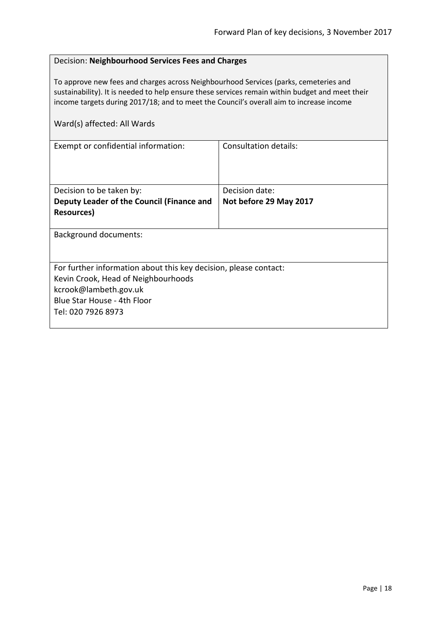#### <span id="page-17-0"></span>Decision: **Neighbourhood Services Fees and Charges**

To approve new fees and charges across Neighbourhood Services (parks, cemeteries and sustainability). It is needed to help ensure these services remain within budget and meet their income targets during 2017/18; and to meet the Council's overall aim to increase income

| Consultation details:                                            |  |
|------------------------------------------------------------------|--|
|                                                                  |  |
|                                                                  |  |
|                                                                  |  |
| Decision date:                                                   |  |
| Not before 29 May 2017                                           |  |
|                                                                  |  |
|                                                                  |  |
|                                                                  |  |
|                                                                  |  |
|                                                                  |  |
| For further information about this key decision, please contact: |  |
| Kevin Crook, Head of Neighbourhoods                              |  |
|                                                                  |  |
|                                                                  |  |
|                                                                  |  |
|                                                                  |  |
|                                                                  |  |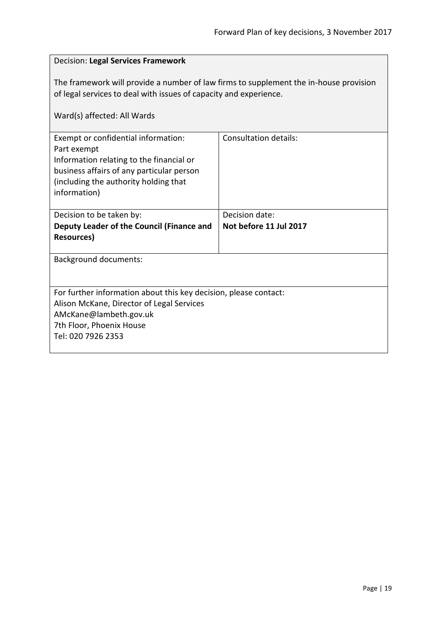## <span id="page-18-0"></span>Decision: **Legal Services Framework** The framework will provide a number of law firms to supplement the in-house provision of legal services to deal with issues of capacity and experience. Ward(s) affected: All Wards Exempt or confidential information: Part exempt Information relating to the financial or business affairs of any particular person (including the authority holding that information) Consultation details: Decision to be taken by: **Deputy Leader of the Council (Finance and Resources)** Decision date: **Not before 11 Jul 2017** Background documents: For further information about this key decision, please contact: Alison McKane, Director of Legal Services AMcKane@lambeth.gov.uk 7th Floor, Phoenix House Tel: 020 7926 2353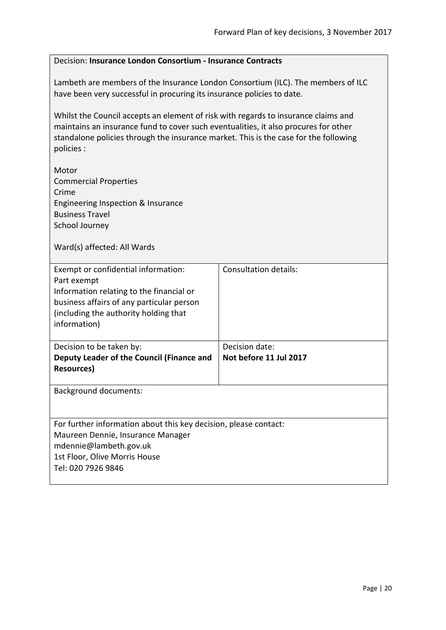## <span id="page-19-0"></span>Decision: **Insurance London Consortium - Insurance Contracts** Lambeth are members of the Insurance London Consortium (ILC). The members of ILC have been very successful in procuring its insurance policies to date. Whilst the Council accepts an element of risk with regards to insurance claims and maintains an insurance fund to cover such eventualities, it also procures for other standalone policies through the insurance market. This is the case for the following policies : Motor Commercial Properties Crime Engineering Inspection & Insurance Business Travel School Journey Ward(s) affected: All Wards Exempt or confidential information: Part exempt Information relating to the financial or business affairs of any particular person (including the authority holding that information) Consultation details: Decision to be taken by: **Deputy Leader of the Council (Finance and Resources)** Decision date: **Not before 11 Jul 2017** Background documents: For further information about this key decision, please contact: Maureen Dennie, Insurance Manager mdennie@lambeth.gov.uk 1st Floor, Olive Morris House Tel: 020 7926 9846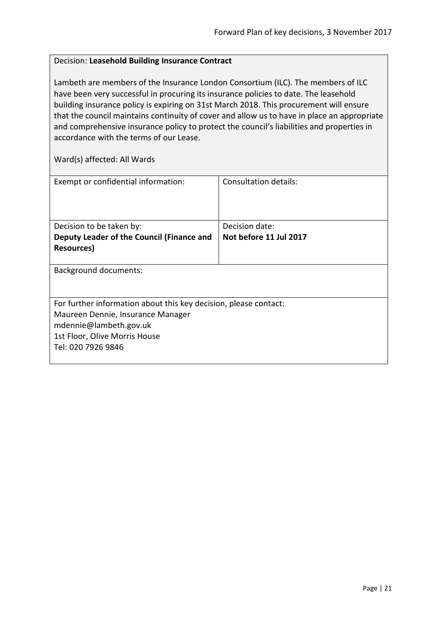#### <span id="page-20-0"></span>Decision: **Leasehold Building Insurance Contract**

Lambeth are members of the Insurance London Consortium (ILC). The members of ILC have been very successful in procuring its insurance policies to date. The leasehold building insurance policy is expiring on 31st March 2018. This procurement will ensure that the council maintains continuity of cover and allow us to have in place an appropriate and comprehensive insurance policy to protect the council's liabilities and properties in accordance with the terms of our Lease.

| Exempt or confidential information:                              | Consultation details:  |
|------------------------------------------------------------------|------------------------|
|                                                                  |                        |
|                                                                  |                        |
| Decision to be taken by:                                         | Decision date:         |
| Deputy Leader of the Council (Finance and                        | Not before 11 Jul 2017 |
| Resources)                                                       |                        |
|                                                                  |                        |
| <b>Background documents:</b>                                     |                        |
|                                                                  |                        |
|                                                                  |                        |
| For further information about this key decision, please contact: |                        |
| Maureen Dennie, Insurance Manager                                |                        |
| mdennie@lambeth.gov.uk                                           |                        |
| 1st Floor, Olive Morris House                                    |                        |
| Tel: 020 7926 9846                                               |                        |
|                                                                  |                        |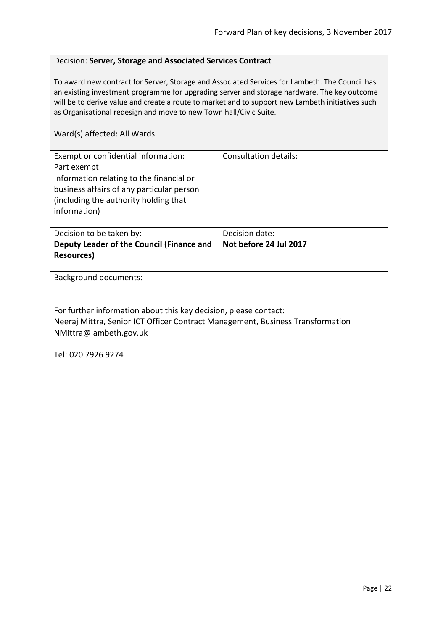#### <span id="page-21-0"></span>Decision: **Server, Storage and Associated Services Contract**

To award new contract for Server, Storage and Associated Services for Lambeth. The Council has an existing investment programme for upgrading server and storage hardware. The key outcome will be to derive value and create a route to market and to support new Lambeth initiatives such as Organisational redesign and move to new Town hall/Civic Suite.

| Exempt or confidential information:<br>Part exempt<br>Information relating to the financial or<br>business affairs of any particular person<br>(including the authority holding that)<br>information) | Consultation details:  |
|-------------------------------------------------------------------------------------------------------------------------------------------------------------------------------------------------------|------------------------|
| Decision to be taken by:                                                                                                                                                                              | Decision date:         |
| Deputy Leader of the Council (Finance and                                                                                                                                                             | Not before 24 Jul 2017 |
| <b>Resources</b> )                                                                                                                                                                                    |                        |
| <b>Background documents:</b>                                                                                                                                                                          |                        |
| For further information about this key decision, please contact:<br>Neeraj Mittra, Senior ICT Officer Contract Management, Business Transformation<br>NMittra@lambeth.gov.uk                          |                        |
| Tel: 020 7926 9274                                                                                                                                                                                    |                        |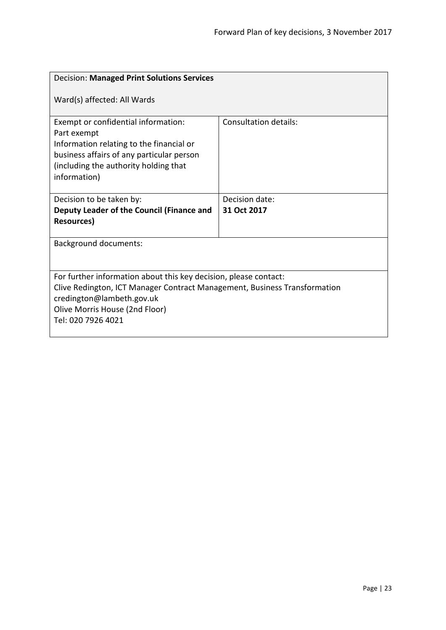<span id="page-22-0"></span>

| <b>Decision: Managed Print Solutions Services</b>                                                                                                                                                    |                       |  |
|------------------------------------------------------------------------------------------------------------------------------------------------------------------------------------------------------|-----------------------|--|
| Ward(s) affected: All Wards                                                                                                                                                                          |                       |  |
| Exempt or confidential information:<br>Part exempt<br>Information relating to the financial or<br>business affairs of any particular person<br>(including the authority holding that<br>information) | Consultation details: |  |
| Decision to be taken by:                                                                                                                                                                             | Decision date:        |  |
| Deputy Leader of the Council (Finance and                                                                                                                                                            | 31 Oct 2017           |  |
| <b>Resources)</b>                                                                                                                                                                                    |                       |  |
| Background documents:                                                                                                                                                                                |                       |  |
|                                                                                                                                                                                                      |                       |  |
| For further information about this key decision, please contact:                                                                                                                                     |                       |  |
| Clive Redington, ICT Manager Contract Management, Business Transformation                                                                                                                            |                       |  |
| credington@lambeth.gov.uk<br>Olive Morris House (2nd Floor)                                                                                                                                          |                       |  |
| Tel: 020 7926 4021                                                                                                                                                                                   |                       |  |
|                                                                                                                                                                                                      |                       |  |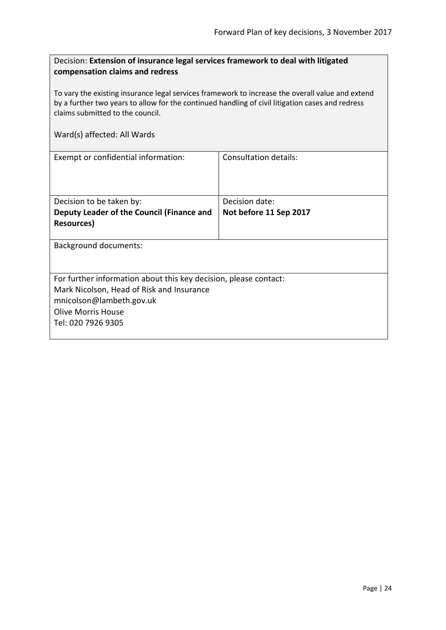<span id="page-23-0"></span>

| Decision: Extension of insurance legal services framework to deal with litigated |
|----------------------------------------------------------------------------------|
| compensation claims and redress                                                  |

To vary the existing insurance legal services framework to increase the overall value and extend by a further two years to allow for the continued handling of civil litigation cases and redress claims submitted to the council.

| Exempt or confidential information:                              | Consultation details:  |
|------------------------------------------------------------------|------------------------|
|                                                                  |                        |
|                                                                  |                        |
| Decision to be taken by:                                         | Decision date:         |
| Deputy Leader of the Council (Finance and                        | Not before 11 Sep 2017 |
| <b>Resources</b> )                                               |                        |
|                                                                  |                        |
| <b>Background documents:</b>                                     |                        |
|                                                                  |                        |
|                                                                  |                        |
| For further information about this key decision, please contact: |                        |
| Mark Nicolson, Head of Risk and Insurance                        |                        |
| mnicolson@lambeth.gov.uk                                         |                        |
| <b>Olive Morris House</b>                                        |                        |
| Tel: 020 7926 9305                                               |                        |
|                                                                  |                        |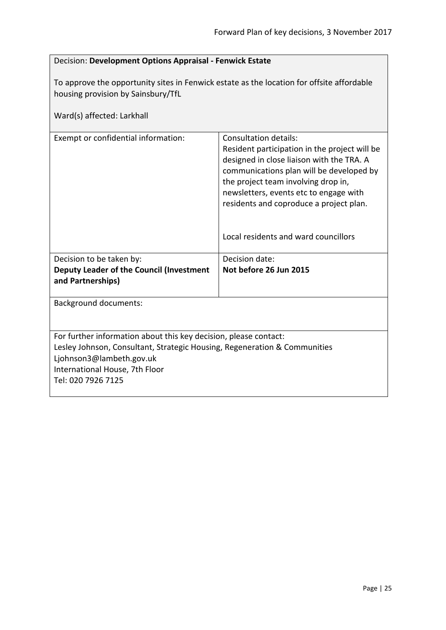<span id="page-24-0"></span>

| Decision: Development Options Appraisal - Fenwick Estate                                                                                                                                                                          |                                                                                                                                                                                                                                                                                                                                            |
|-----------------------------------------------------------------------------------------------------------------------------------------------------------------------------------------------------------------------------------|--------------------------------------------------------------------------------------------------------------------------------------------------------------------------------------------------------------------------------------------------------------------------------------------------------------------------------------------|
| To approve the opportunity sites in Fenwick estate as the location for offsite affordable<br>housing provision by Sainsbury/TfL<br>Ward(s) affected: Larkhall                                                                     |                                                                                                                                                                                                                                                                                                                                            |
| Exempt or confidential information:                                                                                                                                                                                               | <b>Consultation details:</b><br>Resident participation in the project will be<br>designed in close liaison with the TRA. A<br>communications plan will be developed by<br>the project team involving drop in,<br>newsletters, events etc to engage with<br>residents and coproduce a project plan.<br>Local residents and ward councillors |
| Decision to be taken by:                                                                                                                                                                                                          | Decision date:                                                                                                                                                                                                                                                                                                                             |
| Deputy Leader of the Council (Investment<br>and Partnerships)                                                                                                                                                                     | Not before 26 Jun 2015                                                                                                                                                                                                                                                                                                                     |
| <b>Background documents:</b>                                                                                                                                                                                                      |                                                                                                                                                                                                                                                                                                                                            |
| For further information about this key decision, please contact:<br>Lesley Johnson, Consultant, Strategic Housing, Regeneration & Communities<br>Ljohnson3@lambeth.gov.uk<br>International House, 7th Floor<br>Tel: 020 7926 7125 |                                                                                                                                                                                                                                                                                                                                            |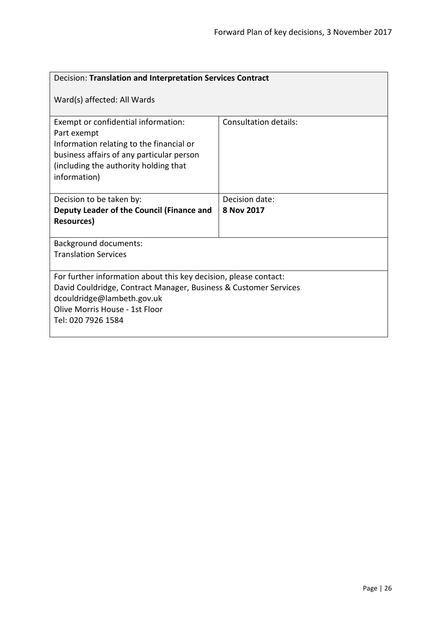<span id="page-25-0"></span>

| Decision: Translation and Interpretation Services Contract                                                                                                                                           |                              |
|------------------------------------------------------------------------------------------------------------------------------------------------------------------------------------------------------|------------------------------|
| Ward(s) affected: All Wards                                                                                                                                                                          |                              |
| Exempt or confidential information:<br>Part exempt<br>Information relating to the financial or<br>business affairs of any particular person<br>(including the authority holding that<br>information) | <b>Consultation details:</b> |
| Decision to be taken by:                                                                                                                                                                             | Decision date:               |
| Deputy Leader of the Council (Finance and                                                                                                                                                            | 8 Nov 2017                   |
| <b>Resources</b> )                                                                                                                                                                                   |                              |
| <b>Background documents:</b>                                                                                                                                                                         |                              |
| <b>Translation Services</b>                                                                                                                                                                          |                              |
|                                                                                                                                                                                                      |                              |
| For further information about this key decision, please contact:                                                                                                                                     |                              |
| David Couldridge, Contract Manager, Business & Customer Services<br>dcouldridge@lambeth.gov.uk                                                                                                       |                              |
| Olive Morris House - 1st Floor                                                                                                                                                                       |                              |
| Tel: 020 7926 1584                                                                                                                                                                                   |                              |
|                                                                                                                                                                                                      |                              |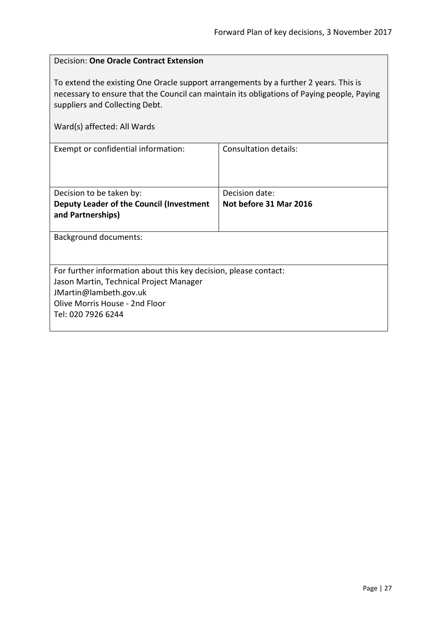<span id="page-26-0"></span>

| <b>Decision: One Oracle Contract Extension</b>                                                                                                                                                                                                      |                        |  |
|-----------------------------------------------------------------------------------------------------------------------------------------------------------------------------------------------------------------------------------------------------|------------------------|--|
| To extend the existing One Oracle support arrangements by a further 2 years. This is<br>necessary to ensure that the Council can maintain its obligations of Paying people, Paying<br>suppliers and Collecting Debt.<br>Ward(s) affected: All Wards |                        |  |
| Exempt or confidential information:                                                                                                                                                                                                                 | Consultation details:  |  |
|                                                                                                                                                                                                                                                     |                        |  |
| Decision to be taken by:                                                                                                                                                                                                                            | Decision date:         |  |
| Deputy Leader of the Council (Investment<br>and Partnerships)                                                                                                                                                                                       | Not before 31 Mar 2016 |  |
| <b>Background documents:</b>                                                                                                                                                                                                                        |                        |  |
|                                                                                                                                                                                                                                                     |                        |  |
| For further information about this key decision, please contact:                                                                                                                                                                                    |                        |  |
| Jason Martin, Technical Project Manager                                                                                                                                                                                                             |                        |  |
| JMartin@lambeth.gov.uk                                                                                                                                                                                                                              |                        |  |
| Olive Morris House - 2nd Floor<br>Tel: 020 7926 6244                                                                                                                                                                                                |                        |  |
|                                                                                                                                                                                                                                                     |                        |  |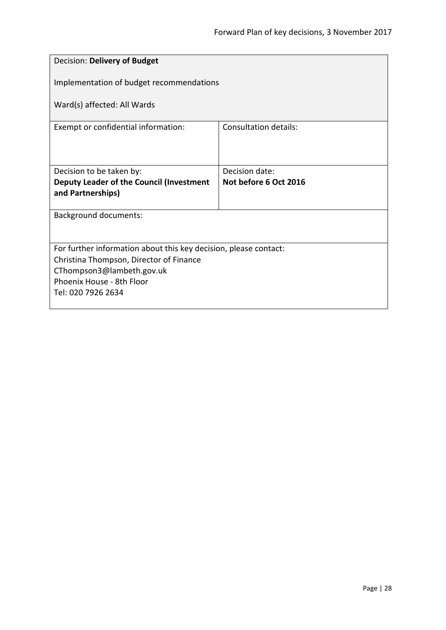<span id="page-27-0"></span>

| Decision: Delivery of Budget                                         |                                         |
|----------------------------------------------------------------------|-----------------------------------------|
| Implementation of budget recommendations                             |                                         |
| Ward(s) affected: All Wards                                          |                                         |
| Exempt or confidential information:                                  | Consultation details:                   |
|                                                                      |                                         |
| Decision to be taken by:<br>Deputy Leader of the Council (Investment | Decision date:<br>Not before 6 Oct 2016 |
| and Partnerships)                                                    |                                         |
| <b>Background documents:</b>                                         |                                         |
|                                                                      |                                         |
| For further information about this key decision, please contact:     |                                         |
| Christina Thompson, Director of Finance<br>CThompson3@lambeth.gov.uk |                                         |
| Phoenix House - 8th Floor                                            |                                         |
| Tel: 020 7926 2634                                                   |                                         |
|                                                                      |                                         |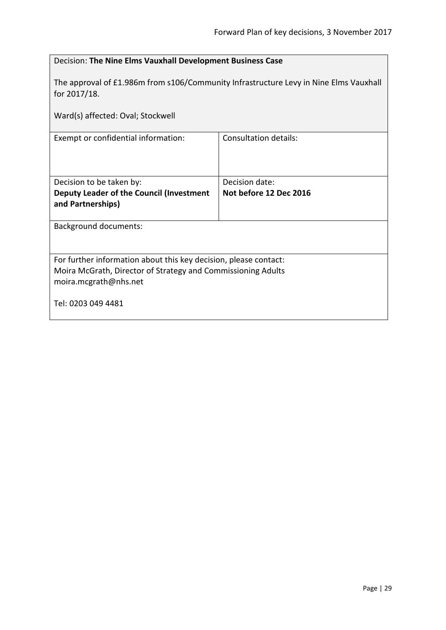<span id="page-28-0"></span>

| Decision: The Nine Elms Vauxhall Development Business Case                                                                                                |                              |
|-----------------------------------------------------------------------------------------------------------------------------------------------------------|------------------------------|
| The approval of £1.986m from s106/Community Infrastructure Levy in Nine Elms Vauxhall<br>for 2017/18.                                                     |                              |
| Ward(s) affected: Oval; Stockwell                                                                                                                         |                              |
| Exempt or confidential information:                                                                                                                       | <b>Consultation details:</b> |
|                                                                                                                                                           |                              |
| Decision to be taken by:                                                                                                                                  | Decision date:               |
| Deputy Leader of the Council (Investment<br>and Partnerships)                                                                                             | Not before 12 Dec 2016       |
| <b>Background documents:</b>                                                                                                                              |                              |
| For further information about this key decision, please contact:<br>Moira McGrath, Director of Strategy and Commissioning Adults<br>moira.mcgrath@nhs.net |                              |
| Tel: 0203 049 4481                                                                                                                                        |                              |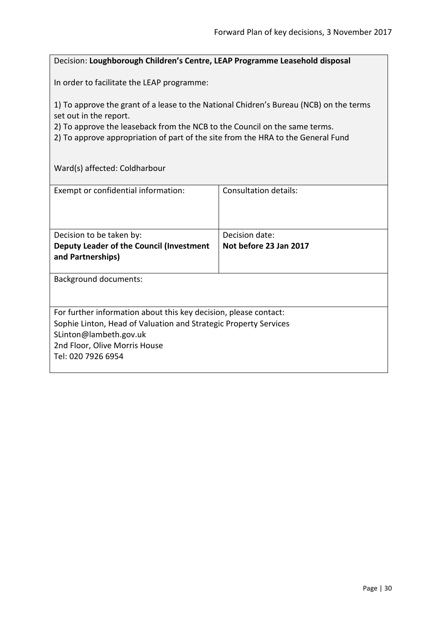#### <span id="page-29-0"></span>Decision: **Loughborough Children's Centre, LEAP Programme Leasehold disposal**

In order to facilitate the LEAP programme:

1) To approve the grant of a lease to the National Chidren's Bureau (NCB) on the terms set out in the report.

2) To approve the leaseback from the NCB to the Council on the same terms.

2) To approve appropriation of part of the site from the HRA to the General Fund

Ward(s) affected: Coldharbour

| Exempt or confidential information:                              | Consultation details:  |
|------------------------------------------------------------------|------------------------|
| Decision to be taken by:                                         | Decision date:         |
| Deputy Leader of the Council (Investment                         | Not before 23 Jan 2017 |
|                                                                  |                        |
| and Partnerships)                                                |                        |
|                                                                  |                        |
| Background documents:                                            |                        |
|                                                                  |                        |
|                                                                  |                        |
| For further information about this key decision, please contact: |                        |
| Sophie Linton, Head of Valuation and Strategic Property Services |                        |
| SLinton@lambeth.gov.uk                                           |                        |
|                                                                  |                        |
| 2nd Floor, Olive Morris House                                    |                        |
| Tel: 020 7926 6954                                               |                        |
|                                                                  |                        |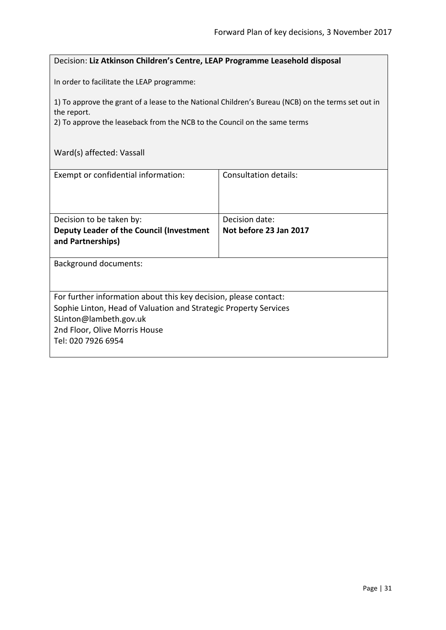#### <span id="page-30-0"></span>Decision: **Liz Atkinson Children's Centre, LEAP Programme Leasehold disposal**

In order to facilitate the LEAP programme:

1) To approve the grant of a lease to the National Children's Bureau (NCB) on the terms set out in the report.

2) To approve the leaseback from the NCB to the Council on the same terms

| Ward(s) affected: Vassall |
|---------------------------|
|---------------------------|

| Exempt or confidential information:                              | Consultation details:  |
|------------------------------------------------------------------|------------------------|
| Decision to be taken by:                                         | Decision date:         |
| Deputy Leader of the Council (Investment                         | Not before 23 Jan 2017 |
| and Partnerships)                                                |                        |
|                                                                  |                        |
| <b>Background documents:</b>                                     |                        |
|                                                                  |                        |
| For further information about this key decision, please contact: |                        |
| Sophie Linton, Head of Valuation and Strategic Property Services |                        |
| SLinton@lambeth.gov.uk                                           |                        |
| 2nd Floor, Olive Morris House                                    |                        |
| Tel: 020 7926 6954                                               |                        |
|                                                                  |                        |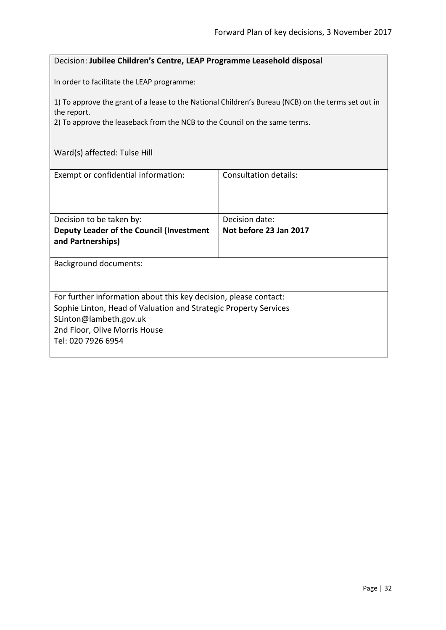#### <span id="page-31-0"></span>Decision: **Jubilee Children's Centre, LEAP Programme Leasehold disposal**

In order to facilitate the LEAP programme:

1) To approve the grant of a lease to the National Children's Bureau (NCB) on the terms set out in the report.

2) To approve the leaseback from the NCB to the Council on the same terms.

|  | Ward(s) affected: Tulse Hill |  |
|--|------------------------------|--|
|--|------------------------------|--|

| Exempt or confidential information:                                                                                                                                                                                   | Consultation details:  |
|-----------------------------------------------------------------------------------------------------------------------------------------------------------------------------------------------------------------------|------------------------|
| Decision to be taken by:                                                                                                                                                                                              | Decision date:         |
| Deputy Leader of the Council (Investment<br>and Partnerships)                                                                                                                                                         | Not before 23 Jan 2017 |
| <b>Background documents:</b>                                                                                                                                                                                          |                        |
| For further information about this key decision, please contact:<br>Sophie Linton, Head of Valuation and Strategic Property Services<br>SLinton@lambeth.gov.uk<br>2nd Floor, Olive Morris House<br>Tel: 020 7926 6954 |                        |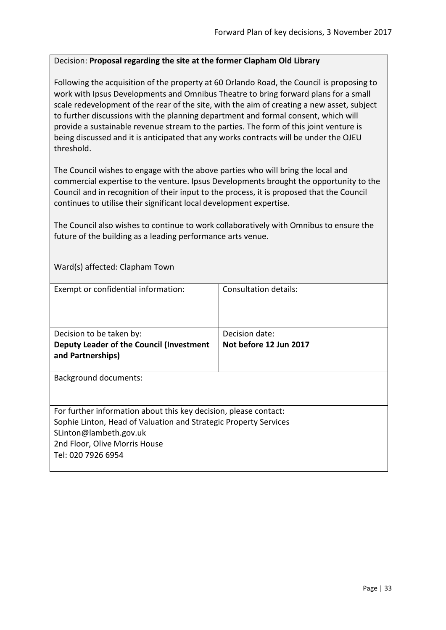#### <span id="page-32-0"></span>Decision: **Proposal regarding the site at the former Clapham Old Library**

Following the acquisition of the property at 60 Orlando Road, the Council is proposing to work with Ipsus Developments and Omnibus Theatre to bring forward plans for a small scale redevelopment of the rear of the site, with the aim of creating a new asset, subject to further discussions with the planning department and formal consent, which will provide a sustainable revenue stream to the parties. The form of this joint venture is being discussed and it is anticipated that any works contracts will be under the OJEU threshold.

The Council wishes to engage with the above parties who will bring the local and commercial expertise to the venture. Ipsus Developments brought the opportunity to the Council and in recognition of their input to the process, it is proposed that the Council continues to utilise their significant local development expertise.

The Council also wishes to continue to work collaboratively with Omnibus to ensure the future of the building as a leading performance arts venue.

Ward(s) affected: Clapham Town

| Exempt or confidential information:                                                                                                                                                                                   | Consultation details:                    |
|-----------------------------------------------------------------------------------------------------------------------------------------------------------------------------------------------------------------------|------------------------------------------|
| Decision to be taken by:<br>Deputy Leader of the Council (Investment<br>and Partnerships)                                                                                                                             | Decision date:<br>Not before 12 Jun 2017 |
| <b>Background documents:</b>                                                                                                                                                                                          |                                          |
| For further information about this key decision, please contact:<br>Sophie Linton, Head of Valuation and Strategic Property Services<br>SLinton@lambeth.gov.uk<br>2nd Floor, Olive Morris House<br>Tel: 020 7926 6954 |                                          |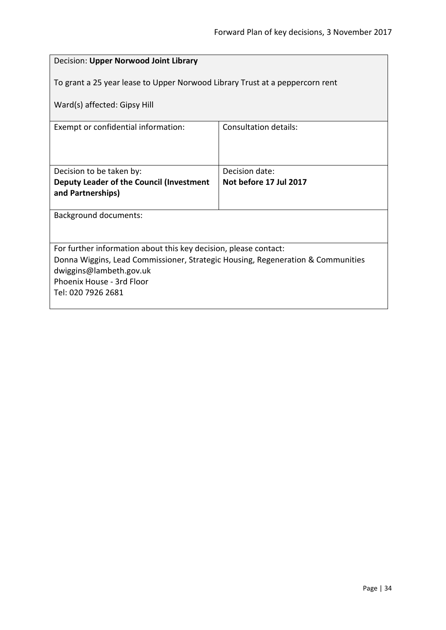<span id="page-33-0"></span>

| Decision: Upper Norwood Joint Library                                           |                        |  |
|---------------------------------------------------------------------------------|------------------------|--|
| To grant a 25 year lease to Upper Norwood Library Trust at a peppercorn rent    |                        |  |
| Ward(s) affected: Gipsy Hill                                                    |                        |  |
| Exempt or confidential information:                                             | Consultation details:  |  |
|                                                                                 |                        |  |
| Decision to be taken by:                                                        | Decision date:         |  |
| Deputy Leader of the Council (Investment                                        | Not before 17 Jul 2017 |  |
| and Partnerships)                                                               |                        |  |
| <b>Background documents:</b>                                                    |                        |  |
|                                                                                 |                        |  |
| For further information about this key decision, please contact:                |                        |  |
| Donna Wiggins, Lead Commissioner, Strategic Housing, Regeneration & Communities |                        |  |
| dwiggins@lambeth.gov.uk<br>Phoenix House - 3rd Floor                            |                        |  |
| Tel: 020 7926 2681                                                              |                        |  |
|                                                                                 |                        |  |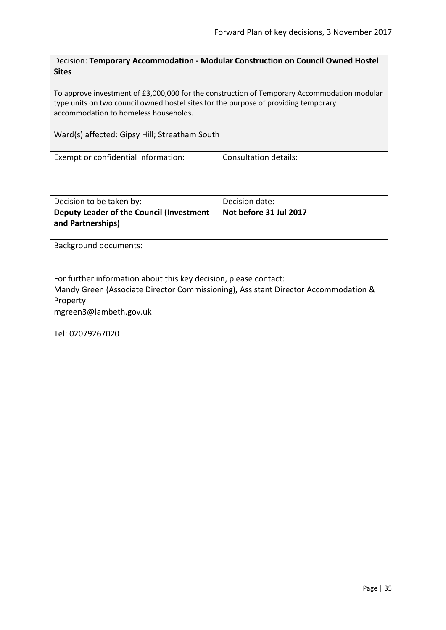<span id="page-34-0"></span>Decision: **Temporary Accommodation - Modular Construction on Council Owned Hostel Sites**

To approve investment of £3,000,000 for the construction of Temporary Accommodation modular type units on two council owned hostel sites for the purpose of providing temporary accommodation to homeless households.

Ward(s) affected: Gipsy Hill; Streatham South

| Exempt or confidential information:                                                | Consultation details:  |
|------------------------------------------------------------------------------------|------------------------|
|                                                                                    |                        |
|                                                                                    |                        |
| Decision to be taken by:                                                           | Decision date:         |
| Deputy Leader of the Council (Investment                                           | Not before 31 Jul 2017 |
| and Partnerships)                                                                  |                        |
|                                                                                    |                        |
| Background documents:                                                              |                        |
|                                                                                    |                        |
|                                                                                    |                        |
| For further information about this key decision, please contact:                   |                        |
| Mandy Green (Associate Director Commissioning), Assistant Director Accommodation & |                        |
| Property                                                                           |                        |
| mgreen3@lambeth.gov.uk                                                             |                        |
|                                                                                    |                        |
| Tel: 02079267020                                                                   |                        |
|                                                                                    |                        |
|                                                                                    |                        |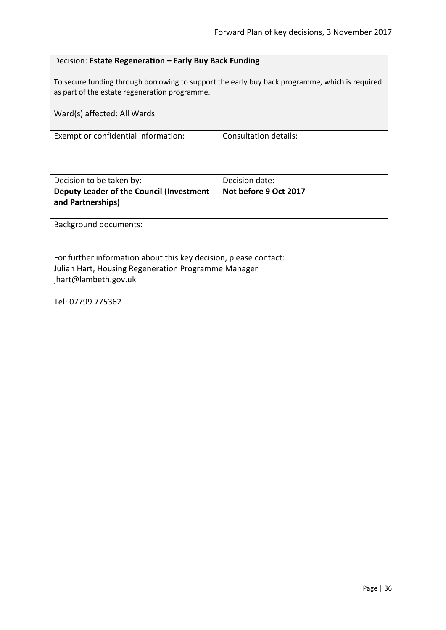<span id="page-35-0"></span>

| Decision: Estate Regeneration - Early Buy Back Funding                                                                                                                         |                       |
|--------------------------------------------------------------------------------------------------------------------------------------------------------------------------------|-----------------------|
| To secure funding through borrowing to support the early buy back programme, which is required<br>as part of the estate regeneration programme.<br>Ward(s) affected: All Wards |                       |
|                                                                                                                                                                                |                       |
| Exempt or confidential information:                                                                                                                                            | Consultation details: |
|                                                                                                                                                                                |                       |
|                                                                                                                                                                                |                       |
| Decision to be taken by:                                                                                                                                                       | Decision date:        |
| Deputy Leader of the Council (Investment                                                                                                                                       | Not before 9 Oct 2017 |
| and Partnerships)                                                                                                                                                              |                       |
| <b>Background documents:</b>                                                                                                                                                   |                       |
|                                                                                                                                                                                |                       |
| For further information about this key decision, please contact:                                                                                                               |                       |
| Julian Hart, Housing Regeneration Programme Manager                                                                                                                            |                       |
| jhart@lambeth.gov.uk                                                                                                                                                           |                       |
| Tel: 07799 775362                                                                                                                                                              |                       |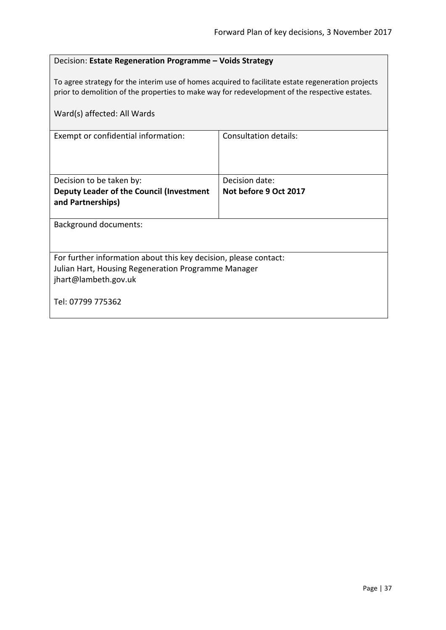# Decision: **Estate Regeneration Programme – Voids Strategy**

To agree strategy for the interim use of homes acquired to facilitate estate regeneration projects prior to demolition of the properties to make way for redevelopment of the respective estates.

| Ward(s) affected: All Wards                                                                                                                     |                              |  |
|-------------------------------------------------------------------------------------------------------------------------------------------------|------------------------------|--|
| Exempt or confidential information:                                                                                                             | <b>Consultation details:</b> |  |
| Decision to be taken by:                                                                                                                        | Decision date:               |  |
| Deputy Leader of the Council (Investment<br>and Partnerships)                                                                                   | Not before 9 Oct 2017        |  |
| Background documents:                                                                                                                           |                              |  |
| For further information about this key decision, please contact:<br>Julian Hart, Housing Regeneration Programme Manager<br>jhart@lambeth.gov.uk |                              |  |
| Tel: 07799 775362                                                                                                                               |                              |  |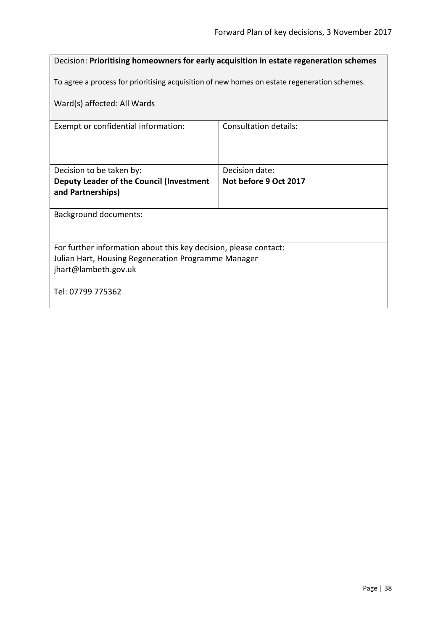# Decision: **Prioritising homeowners for early acquisition in estate regeneration schemes** To agree a process for prioritising acquisition of new homes on estate regeneration schemes. Ward(s) affected: All Wards Exempt or confidential information: Consultation details: Decision to be taken by: **Deputy Leader of the Council (Investment and Partnerships)** Decision date: **Not before 9 Oct 2017** Background documents: For further information about this key decision, please contact: Julian Hart, Housing Regeneration Programme Manager jhart@lambeth.gov.uk Tel: 07799 775362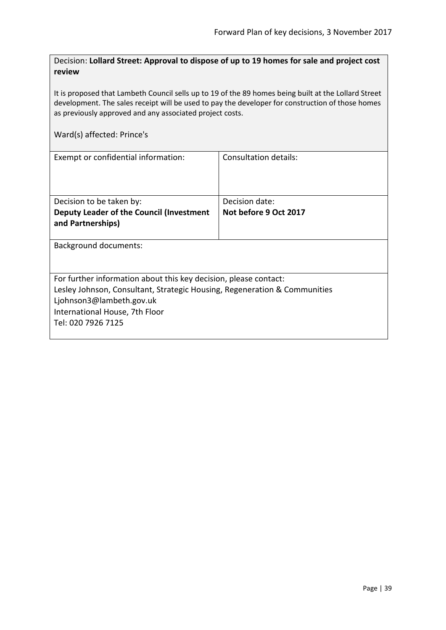Decision: **Lollard Street: Approval to dispose of up to 19 homes for sale and project cost review**

It is proposed that Lambeth Council sells up to 19 of the 89 homes being built at the Lollard Street development. The sales receipt will be used to pay the developer for construction of those homes as previously approved and any associated project costs.

#### Ward(s) affected: Prince's

| Exempt or confidential information:                                       | Consultation details: |  |
|---------------------------------------------------------------------------|-----------------------|--|
| Decision to be taken by:                                                  | Decision date:        |  |
| Deputy Leader of the Council (Investment                                  | Not before 9 Oct 2017 |  |
| and Partnerships)                                                         |                       |  |
|                                                                           |                       |  |
| <b>Background documents:</b>                                              |                       |  |
|                                                                           |                       |  |
| For further information about this key decision, please contact:          |                       |  |
| Lesley Johnson, Consultant, Strategic Housing, Regeneration & Communities |                       |  |
| Ljohnson3@lambeth.gov.uk                                                  |                       |  |
| International House, 7th Floor                                            |                       |  |
| Tel: 020 7926 7125                                                        |                       |  |
|                                                                           |                       |  |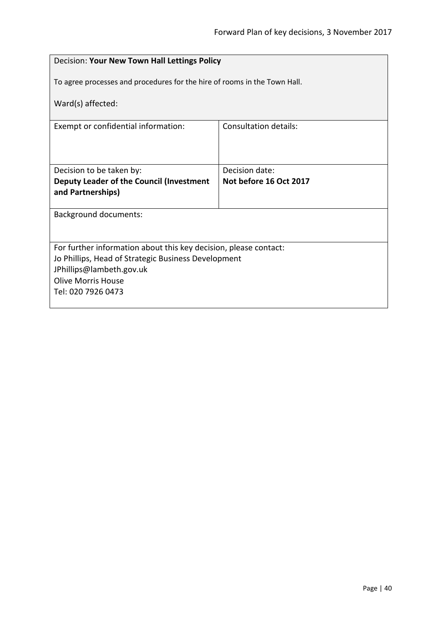|                                                                  | Decision: Your New Town Hall Lettings Policy                              |  |
|------------------------------------------------------------------|---------------------------------------------------------------------------|--|
|                                                                  | To agree processes and procedures for the hire of rooms in the Town Hall. |  |
| Ward(s) affected:                                                |                                                                           |  |
| Exempt or confidential information:                              | <b>Consultation details:</b>                                              |  |
|                                                                  |                                                                           |  |
| Decision to be taken by:                                         | Decision date:                                                            |  |
| Deputy Leader of the Council (Investment<br>and Partnerships)    | Not before 16 Oct 2017                                                    |  |
| <b>Background documents:</b>                                     |                                                                           |  |
|                                                                  |                                                                           |  |
| For further information about this key decision, please contact: |                                                                           |  |
| Jo Phillips, Head of Strategic Business Development              |                                                                           |  |
| JPhillips@lambeth.gov.uk                                         |                                                                           |  |
| <b>Olive Morris House</b>                                        |                                                                           |  |
| Tel: 020 7926 0473                                               |                                                                           |  |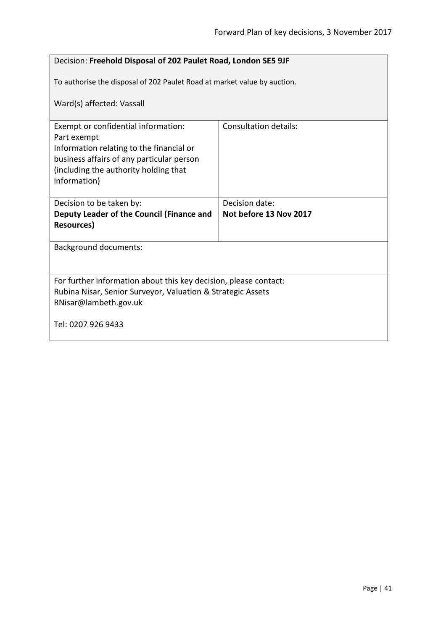|                                                                                                                                                                                                      | Decision: Freehold Disposal of 202 Paulet Road, London SE5 9JF           |  |
|------------------------------------------------------------------------------------------------------------------------------------------------------------------------------------------------------|--------------------------------------------------------------------------|--|
|                                                                                                                                                                                                      | To authorise the disposal of 202 Paulet Road at market value by auction. |  |
| Ward(s) affected: Vassall                                                                                                                                                                            |                                                                          |  |
| Exempt or confidential information:<br>Part exempt<br>Information relating to the financial or<br>business affairs of any particular person<br>(including the authority holding that<br>information) | <b>Consultation details:</b>                                             |  |
| Decision to be taken by:                                                                                                                                                                             | Decision date:                                                           |  |
| Deputy Leader of the Council (Finance and<br><b>Resources)</b>                                                                                                                                       | Not before 13 Nov 2017                                                   |  |
| <b>Background documents:</b>                                                                                                                                                                         |                                                                          |  |
|                                                                                                                                                                                                      |                                                                          |  |
| For further information about this key decision, please contact:<br>Rubina Nisar, Senior Surveyor, Valuation & Strategic Assets<br>RNisar@lambeth.gov.uk                                             |                                                                          |  |
| Tel: 0207 926 9433                                                                                                                                                                                   |                                                                          |  |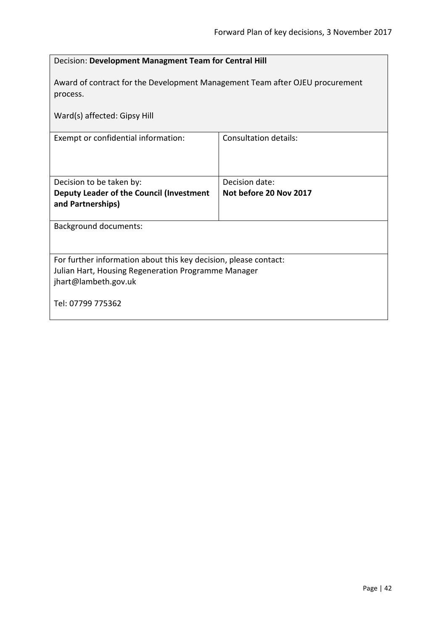|                                                                                                                                                 | Decision: Development Managment Team for Central Hill |  |
|-------------------------------------------------------------------------------------------------------------------------------------------------|-------------------------------------------------------|--|
| Award of contract for the Development Management Team after OJEU procurement<br>process.                                                        |                                                       |  |
| Ward(s) affected: Gipsy Hill                                                                                                                    |                                                       |  |
| Exempt or confidential information:                                                                                                             | Consultation details:                                 |  |
| Decision to be taken by:                                                                                                                        | Decision date:                                        |  |
| Deputy Leader of the Council (Investment<br>and Partnerships)                                                                                   | Not before 20 Nov 2017                                |  |
| <b>Background documents:</b>                                                                                                                    |                                                       |  |
| For further information about this key decision, please contact:<br>Julian Hart, Housing Regeneration Programme Manager<br>jhart@lambeth.gov.uk |                                                       |  |
| Tel: 07799 775362                                                                                                                               |                                                       |  |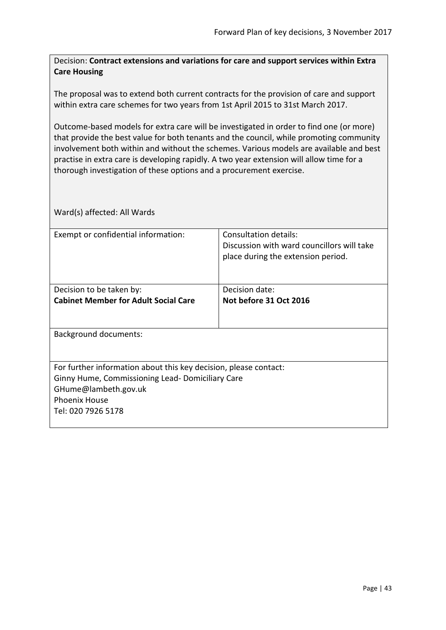Decision: **Contract extensions and variations for care and support services within Extra Care Housing**

The proposal was to extend both current contracts for the provision of care and support within extra care schemes for two years from 1st April 2015 to 31st March 2017.

Outcome-based models for extra care will be investigated in order to find one (or more) that provide the best value for both tenants and the council, while promoting community involvement both within and without the schemes. Various models are available and best practise in extra care is developing rapidly. A two year extension will allow time for a thorough investigation of these options and a procurement exercise.

| Exempt or confidential information:                              | Consultation details:                      |  |
|------------------------------------------------------------------|--------------------------------------------|--|
|                                                                  | Discussion with ward councillors will take |  |
|                                                                  | place during the extension period.         |  |
|                                                                  |                                            |  |
|                                                                  |                                            |  |
| Decision to be taken by:                                         | Decision date:                             |  |
| <b>Cabinet Member for Adult Social Care</b>                      | Not before 31 Oct 2016                     |  |
|                                                                  |                                            |  |
|                                                                  |                                            |  |
| <b>Background documents:</b>                                     |                                            |  |
|                                                                  |                                            |  |
|                                                                  |                                            |  |
| For further information about this key decision, please contact: |                                            |  |
| Ginny Hume, Commissioning Lead- Domiciliary Care                 |                                            |  |
| GHume@lambeth.gov.uk                                             |                                            |  |
|                                                                  |                                            |  |
| <b>Phoenix House</b>                                             |                                            |  |
| Tel: 020 7926 5178                                               |                                            |  |
|                                                                  |                                            |  |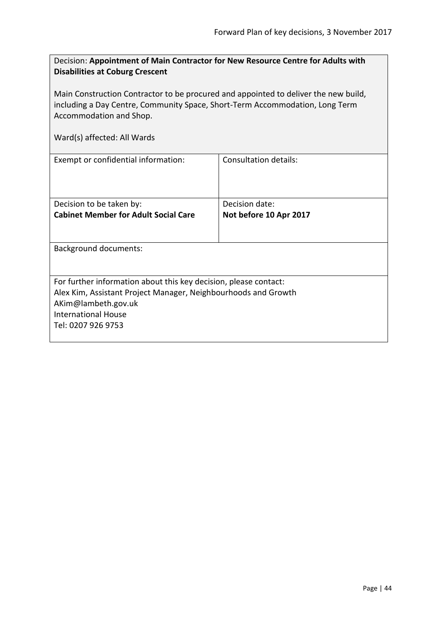| Decision: Appointment of Main Contractor for New Resource Centre for Adults with |
|----------------------------------------------------------------------------------|
| <b>Disabilities at Coburg Crescent</b>                                           |

Main Construction Contractor to be procured and appointed to deliver the new build, including a Day Centre, Community Space, Short-Term Accommodation, Long Term Accommodation and Shop.

| Exempt or confidential information:                              | Consultation details:  |
|------------------------------------------------------------------|------------------------|
| Decision to be taken by:                                         | Decision date:         |
| <b>Cabinet Member for Adult Social Care</b>                      | Not before 10 Apr 2017 |
|                                                                  |                        |
| <b>Background documents:</b>                                     |                        |
| For further information about this key decision, please contact: |                        |
| Alex Kim, Assistant Project Manager, Neighbourhoods and Growth   |                        |
| AKim@lambeth.gov.uk                                              |                        |
| <b>International House</b>                                       |                        |
| Tel: 0207 926 9753                                               |                        |
|                                                                  |                        |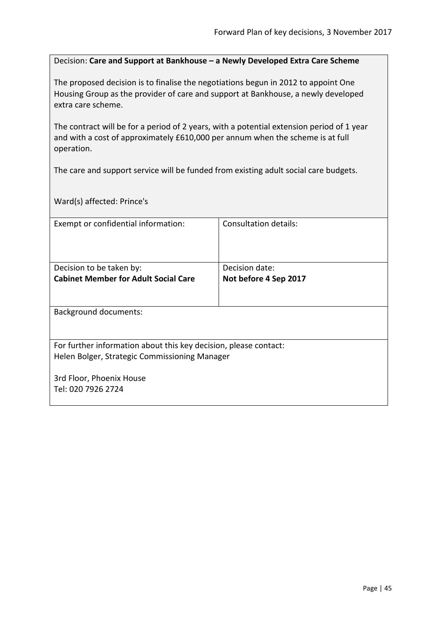### Decision: **Care and Support at Bankhouse – a Newly Developed Extra Care Scheme**

The proposed decision is to finalise the negotiations begun in 2012 to appoint One Housing Group as the provider of care and support at Bankhouse, a newly developed extra care scheme.

The contract will be for a period of 2 years, with a potential extension period of 1 year and with a cost of approximately £610,000 per annum when the scheme is at full operation.

The care and support service will be funded from existing adult social care budgets.

Ward(s) affected: Prince's

| Exempt or confidential information:                              | Consultation details: |
|------------------------------------------------------------------|-----------------------|
|                                                                  |                       |
|                                                                  |                       |
| Decision to be taken by:                                         | Decision date:        |
| <b>Cabinet Member for Adult Social Care</b>                      | Not before 4 Sep 2017 |
|                                                                  |                       |
|                                                                  |                       |
| <b>Background documents:</b>                                     |                       |
|                                                                  |                       |
| For further information about this key decision, please contact: |                       |
| Helen Bolger, Strategic Commissioning Manager                    |                       |
|                                                                  |                       |
| 3rd Floor, Phoenix House                                         |                       |
| Tel: 020 7926 2724                                               |                       |
|                                                                  |                       |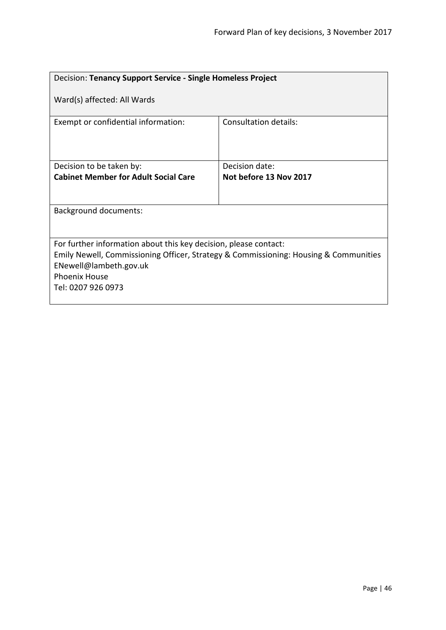| Decision: Tenancy Support Service - Single Homeless Project                                                                                                                                                                      |                        |  |
|----------------------------------------------------------------------------------------------------------------------------------------------------------------------------------------------------------------------------------|------------------------|--|
| Ward(s) affected: All Wards                                                                                                                                                                                                      |                        |  |
| Exempt or confidential information:                                                                                                                                                                                              | Consultation details:  |  |
| Decision to be taken by:                                                                                                                                                                                                         | Decision date:         |  |
| <b>Cabinet Member for Adult Social Care</b>                                                                                                                                                                                      | Not before 13 Nov 2017 |  |
|                                                                                                                                                                                                                                  |                        |  |
| <b>Background documents:</b>                                                                                                                                                                                                     |                        |  |
| For further information about this key decision, please contact:<br>Emily Newell, Commissioning Officer, Strategy & Commissioning: Housing & Communities<br>ENewell@lambeth.gov.uk<br><b>Phoenix House</b><br>Tel: 0207 926 0973 |                        |  |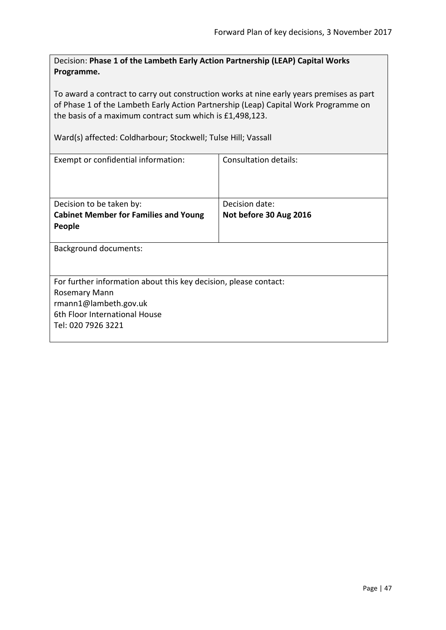Decision: **Phase 1 of the Lambeth Early Action Partnership (LEAP) Capital Works Programme.**

To award a contract to carry out construction works at nine early years premises as part of Phase 1 of the Lambeth Early Action Partnership (Leap) Capital Work Programme on the basis of a maximum contract sum which is £1,498,123.

Ward(s) affected: Coldharbour; Stockwell; Tulse Hill; Vassall

| Exempt or confidential information:                              | Consultation details:  |  |
|------------------------------------------------------------------|------------------------|--|
|                                                                  |                        |  |
| Decision to be taken by:                                         | Decision date:         |  |
| <b>Cabinet Member for Families and Young</b>                     | Not before 30 Aug 2016 |  |
| People                                                           |                        |  |
| <b>Background documents:</b>                                     |                        |  |
| For further information about this key decision, please contact: |                        |  |
| Rosemary Mann                                                    |                        |  |
| rmann1@lambeth.gov.uk                                            |                        |  |
| 6th Floor International House                                    |                        |  |
| Tel: 020 7926 3221                                               |                        |  |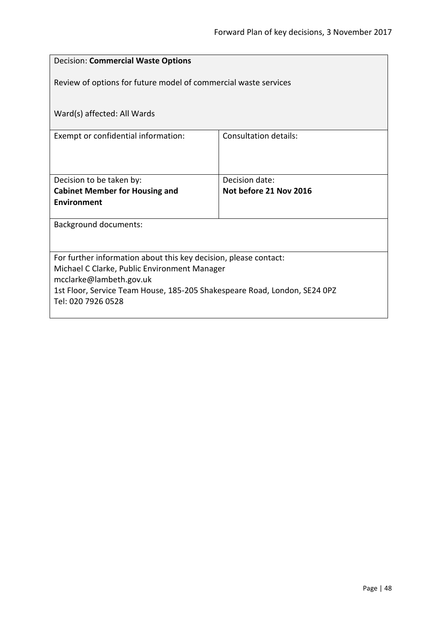| <b>Decision: Commercial Waste Options</b>                                 |                              |  |
|---------------------------------------------------------------------------|------------------------------|--|
| Review of options for future model of commercial waste services           |                              |  |
| Ward(s) affected: All Wards                                               |                              |  |
| Exempt or confidential information:                                       | <b>Consultation details:</b> |  |
|                                                                           |                              |  |
| Decision to be taken by:                                                  | Decision date:               |  |
| <b>Cabinet Member for Housing and</b>                                     | Not before 21 Nov 2016       |  |
| <b>Environment</b>                                                        |                              |  |
| <b>Background documents:</b>                                              |                              |  |
|                                                                           |                              |  |
| For further information about this key decision, please contact:          |                              |  |
| Michael C Clarke, Public Environment Manager<br>mcclarke@lambeth.gov.uk   |                              |  |
| 1st Floor, Service Team House, 185-205 Shakespeare Road, London, SE24 0PZ |                              |  |
| Tel: 020 7926 0528                                                        |                              |  |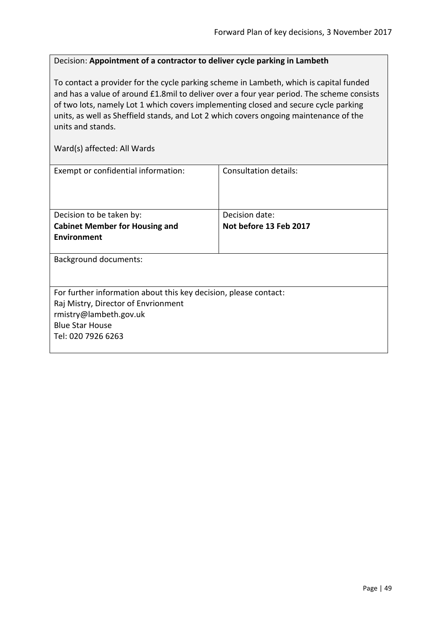# Decision: **Appointment of a contractor to deliver cycle parking in Lambeth**

To contact a provider for the cycle parking scheme in Lambeth, which is capital funded and has a value of around £1.8mil to deliver over a four year period. The scheme consists of two lots, namely Lot 1 which covers implementing closed and secure cycle parking units, as well as Sheffield stands, and Lot 2 which covers ongoing maintenance of the units and stands.

| Exempt or confidential information:                              | Consultation details:  |
|------------------------------------------------------------------|------------------------|
| Decision to be taken by:                                         | Decision date:         |
| <b>Cabinet Member for Housing and</b>                            | Not before 13 Feb 2017 |
| Environment                                                      |                        |
| <b>Background documents:</b>                                     |                        |
| For further information about this key decision, please contact: |                        |
| Raj Mistry, Director of Envrionment                              |                        |
| rmistry@lambeth.gov.uk                                           |                        |
| <b>Blue Star House</b>                                           |                        |
| Tel: 020 7926 6263                                               |                        |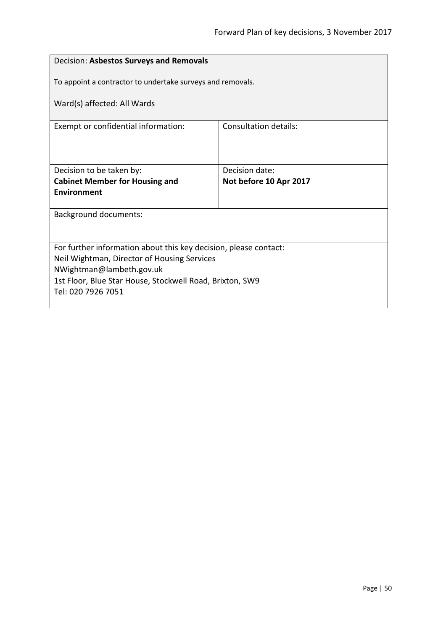| Decision: Asbestos Surveys and Removals                                                                       |                       |  |
|---------------------------------------------------------------------------------------------------------------|-----------------------|--|
| To appoint a contractor to undertake surveys and removals.                                                    |                       |  |
| Ward(s) affected: All Wards                                                                                   |                       |  |
| Exempt or confidential information:                                                                           | Consultation details: |  |
|                                                                                                               |                       |  |
| Decision date:<br>Decision to be taken by:<br><b>Cabinet Member for Housing and</b><br>Not before 10 Apr 2017 |                       |  |
| <b>Fnvironment</b>                                                                                            |                       |  |
| <b>Background documents:</b>                                                                                  |                       |  |
|                                                                                                               |                       |  |
| For further information about this key decision, please contact:                                              |                       |  |
| Neil Wightman, Director of Housing Services<br>NWightman@lambeth.gov.uk                                       |                       |  |
| 1st Floor, Blue Star House, Stockwell Road, Brixton, SW9                                                      |                       |  |
| Tel: 020 7926 7051                                                                                            |                       |  |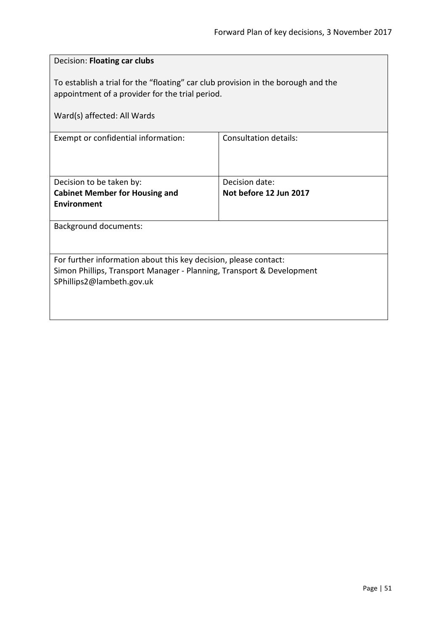| Decision: Floating car clubs                                                                                                                                           |                        |
|------------------------------------------------------------------------------------------------------------------------------------------------------------------------|------------------------|
| To establish a trial for the "floating" car club provision in the borough and the<br>appointment of a provider for the trial period.                                   |                        |
| Ward(s) affected: All Wards                                                                                                                                            |                        |
| Exempt or confidential information:                                                                                                                                    | Consultation details:  |
| Decision to be taken by:                                                                                                                                               | Decision date:         |
| <b>Cabinet Member for Housing and</b><br><b>Environment</b>                                                                                                            | Not before 12 Jun 2017 |
| Background documents:                                                                                                                                                  |                        |
| For further information about this key decision, please contact:<br>Simon Phillips, Transport Manager - Planning, Transport & Development<br>SPhillips2@lambeth.gov.uk |                        |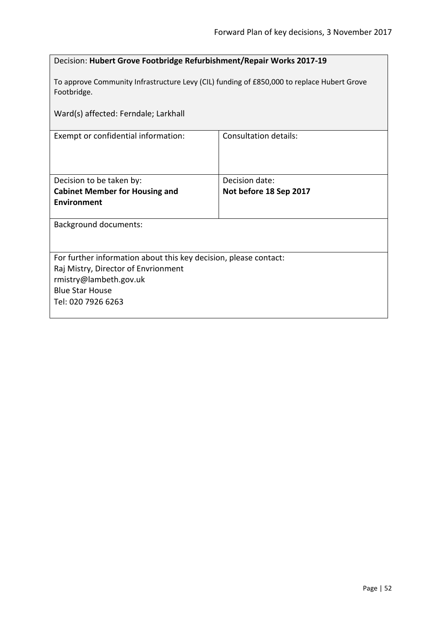|                                                                                                           | Decision: Hubert Grove Footbridge Refurbishment/Repair Works 2017-19 |  |
|-----------------------------------------------------------------------------------------------------------|----------------------------------------------------------------------|--|
| To approve Community Infrastructure Levy (CIL) funding of £850,000 to replace Hubert Grove<br>Footbridge. |                                                                      |  |
| Ward(s) affected: Ferndale; Larkhall                                                                      |                                                                      |  |
| Exempt or confidential information:                                                                       | Consultation details:                                                |  |
|                                                                                                           |                                                                      |  |
| Decision to be taken by:                                                                                  | Decision date:                                                       |  |
| <b>Cabinet Member for Housing and</b>                                                                     | Not before 18 Sep 2017                                               |  |
| <b>Environment</b>                                                                                        |                                                                      |  |
| <b>Background documents:</b>                                                                              |                                                                      |  |
|                                                                                                           |                                                                      |  |
| For further information about this key decision, please contact:                                          |                                                                      |  |
| Raj Mistry, Director of Envrionment                                                                       |                                                                      |  |
| rmistry@lambeth.gov.uk                                                                                    |                                                                      |  |
| <b>Blue Star House</b>                                                                                    |                                                                      |  |
| Tel: 020 7926 6263                                                                                        |                                                                      |  |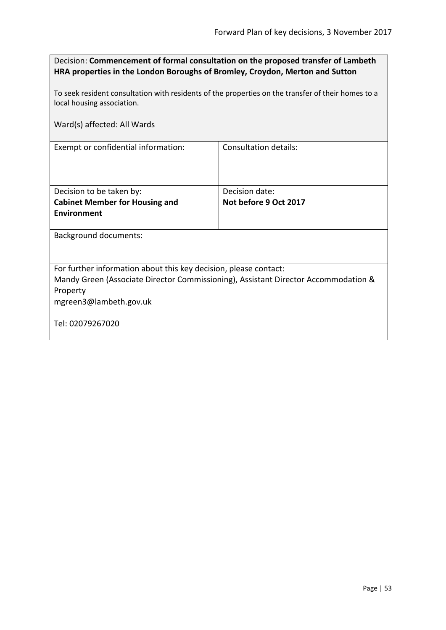| Decision: Commencement of formal consultation on the proposed transfer of Lambeth |
|-----------------------------------------------------------------------------------|
| HRA properties in the London Boroughs of Bromley, Croydon, Merton and Sutton      |

To seek resident consultation with residents of the properties on the transfer of their homes to a local housing association.

Ward(s) affected: All Wards

Exempt or confidential information: Consultation details:

Decision to be taken by: **Cabinet Member for Housing and Environment** Decision date: **Not before 9 Oct 2017**

Background documents:

For further information about this key decision, please contact:

Mandy Green (Associate Director Commissioning), Assistant Director Accommodation & Property

mgreen3@lambeth.gov.uk

Tel: 02079267020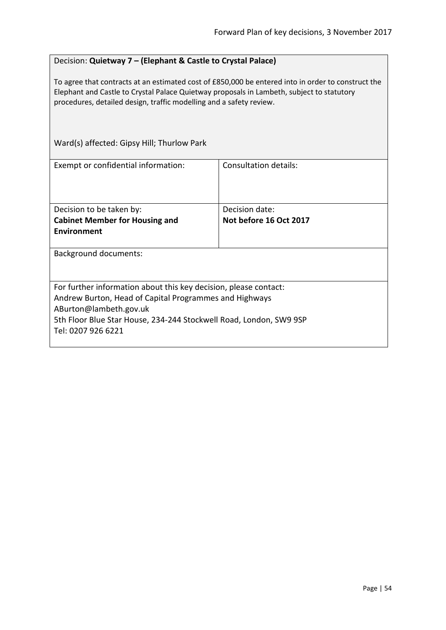# Decision: **Quietway 7 – (Elephant & Castle to Crystal Palace)**

To agree that contracts at an estimated cost of £850,000 be entered into in order to construct the Elephant and Castle to Crystal Palace Quietway proposals in Lambeth, subject to statutory procedures, detailed design, traffic modelling and a safety review.

| Ward(s) affected: Gipsy Hill; Thurlow Park                                                                                                                                                                                                       |                        |  |
|--------------------------------------------------------------------------------------------------------------------------------------------------------------------------------------------------------------------------------------------------|------------------------|--|
| Exempt or confidential information:                                                                                                                                                                                                              | Consultation details:  |  |
| Decision to be taken by:                                                                                                                                                                                                                         | Decision date:         |  |
| <b>Cabinet Member for Housing and</b>                                                                                                                                                                                                            | Not before 16 Oct 2017 |  |
| Environment                                                                                                                                                                                                                                      |                        |  |
| <b>Background documents:</b>                                                                                                                                                                                                                     |                        |  |
| For further information about this key decision, please contact:<br>Andrew Burton, Head of Capital Programmes and Highways<br>ABurton@lambeth.gov.uk<br>5th Floor Blue Star House, 234-244 Stockwell Road, London, SW9 9SP<br>Tel: 0207 926 6221 |                        |  |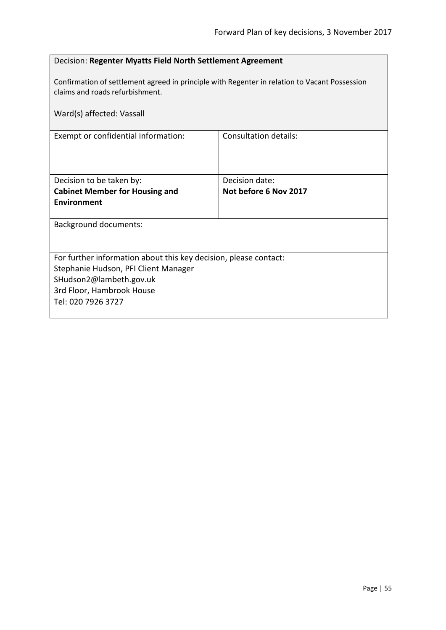| Decision: Regenter Myatts Field North Settlement Agreement                                                                       |                       |  |
|----------------------------------------------------------------------------------------------------------------------------------|-----------------------|--|
| Confirmation of settlement agreed in principle with Regenter in relation to Vacant Possession<br>claims and roads refurbishment. |                       |  |
| Ward(s) affected: Vassall                                                                                                        |                       |  |
| Exempt or confidential information:                                                                                              | Consultation details: |  |
|                                                                                                                                  |                       |  |
| Decision to be taken by:                                                                                                         | Decision date:        |  |
| <b>Cabinet Member for Housing and</b>                                                                                            | Not before 6 Nov 2017 |  |
| Environment                                                                                                                      |                       |  |
| <b>Background documents:</b>                                                                                                     |                       |  |
|                                                                                                                                  |                       |  |
| For further information about this key decision, please contact:                                                                 |                       |  |
| Stephanie Hudson, PFI Client Manager                                                                                             |                       |  |
| SHudson2@lambeth.gov.uk                                                                                                          |                       |  |
| 3rd Floor, Hambrook House<br>Tel: 020 7926 3727                                                                                  |                       |  |
|                                                                                                                                  |                       |  |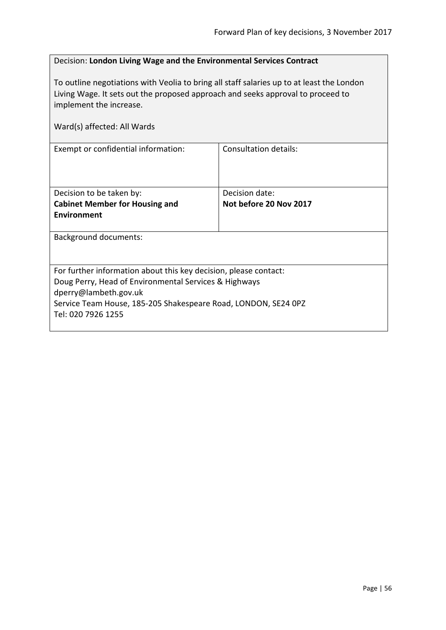## Decision: **London Living Wage and the Environmental Services Contract**

To outline negotiations with Veolia to bring all staff salaries up to at least the London Living Wage. It sets out the proposed approach and seeks approval to proceed to implement the increase.

| Ward(s) affected: All Wards                                                                                                                                                                                                                |                                          |
|--------------------------------------------------------------------------------------------------------------------------------------------------------------------------------------------------------------------------------------------|------------------------------------------|
| Exempt or confidential information:                                                                                                                                                                                                        | <b>Consultation details:</b>             |
| Decision to be taken by:<br><b>Cabinet Member for Housing and</b><br><b>Environment</b>                                                                                                                                                    | Decision date:<br>Not before 20 Nov 2017 |
| <b>Background documents:</b>                                                                                                                                                                                                               |                                          |
| For further information about this key decision, please contact:<br>Doug Perry, Head of Environmental Services & Highways<br>dperry@lambeth.gov.uk<br>Service Team House, 185-205 Shakespeare Road, LONDON, SE24 OPZ<br>Tel: 020 7926 1255 |                                          |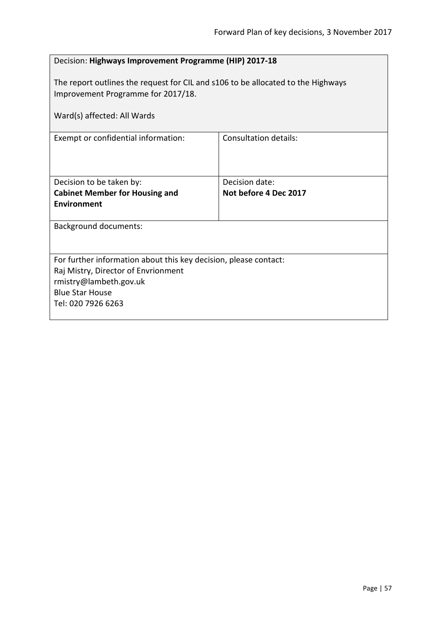| Decision: Highways Improvement Programme (HIP) 2017-18                                                                                                                            |                                         |  |
|-----------------------------------------------------------------------------------------------------------------------------------------------------------------------------------|-----------------------------------------|--|
| The report outlines the request for CIL and s106 to be allocated to the Highways<br>Improvement Programme for 2017/18.                                                            |                                         |  |
| Ward(s) affected: All Wards                                                                                                                                                       |                                         |  |
| Exempt or confidential information:                                                                                                                                               | Consultation details:                   |  |
| Decision to be taken by:<br><b>Cabinet Member for Housing and</b><br><b>Environment</b>                                                                                           | Decision date:<br>Not before 4 Dec 2017 |  |
| <b>Background documents:</b>                                                                                                                                                      |                                         |  |
| For further information about this key decision, please contact:<br>Raj Mistry, Director of Envrionment<br>rmistry@lambeth.gov.uk<br><b>Blue Star House</b><br>Tel: 020 7926 6263 |                                         |  |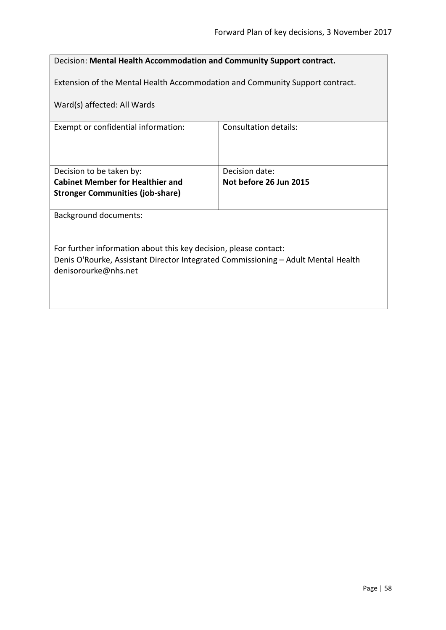| Decision: Mental Health Accommodation and Community Support contract.             |                              |  |
|-----------------------------------------------------------------------------------|------------------------------|--|
| Extension of the Mental Health Accommodation and Community Support contract.      |                              |  |
|                                                                                   |                              |  |
| Ward(s) affected: All Wards                                                       |                              |  |
|                                                                                   |                              |  |
| Exempt or confidential information:                                               | <b>Consultation details:</b> |  |
|                                                                                   |                              |  |
|                                                                                   |                              |  |
| Decision to be taken by:                                                          | Decision date:               |  |
| <b>Cabinet Member for Healthier and</b>                                           | Not before 26 Jun 2015       |  |
| <b>Stronger Communities (job-share)</b>                                           |                              |  |
|                                                                                   |                              |  |
| Background documents:                                                             |                              |  |
|                                                                                   |                              |  |
| For further information about this key decision, please contact:                  |                              |  |
| Denis O'Rourke, Assistant Director Integrated Commissioning - Adult Mental Health |                              |  |
| denisorourke@nhs.net                                                              |                              |  |
|                                                                                   |                              |  |
|                                                                                   |                              |  |
|                                                                                   |                              |  |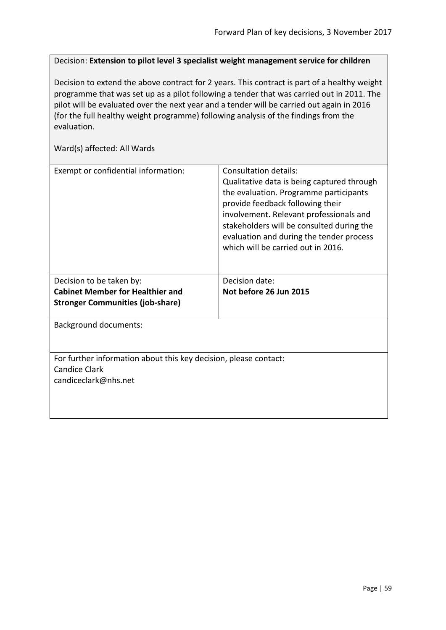Decision: **Extension to pilot level 3 specialist weight management service for children**

Decision to extend the above contract for 2 years. This contract is part of a healthy weight programme that was set up as a pilot following a tender that was carried out in 2011. The pilot will be evaluated over the next year and a tender will be carried out again in 2016 (for the full healthy weight programme) following analysis of the findings from the evaluation.

| Exempt or confidential information:                                                                              | Consultation details:<br>Qualitative data is being captured through<br>the evaluation. Programme participants<br>provide feedback following their<br>involvement. Relevant professionals and<br>stakeholders will be consulted during the<br>evaluation and during the tender process<br>which will be carried out in 2016. |
|------------------------------------------------------------------------------------------------------------------|-----------------------------------------------------------------------------------------------------------------------------------------------------------------------------------------------------------------------------------------------------------------------------------------------------------------------------|
| Decision to be taken by:                                                                                         | Decision date:                                                                                                                                                                                                                                                                                                              |
| <b>Cabinet Member for Healthier and</b>                                                                          | Not before 26 Jun 2015                                                                                                                                                                                                                                                                                                      |
| <b>Stronger Communities (job-share)</b>                                                                          |                                                                                                                                                                                                                                                                                                                             |
| <b>Background documents:</b>                                                                                     |                                                                                                                                                                                                                                                                                                                             |
| For further information about this key decision, please contact:<br><b>Candice Clark</b><br>candiceclark@nhs.net |                                                                                                                                                                                                                                                                                                                             |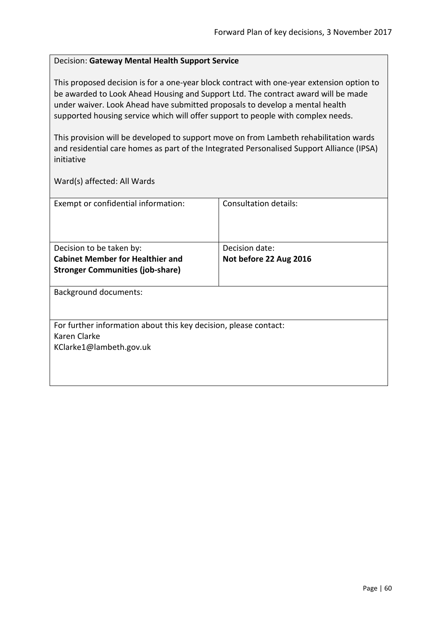#### Decision: **Gateway Mental Health Support Service**

This proposed decision is for a one-year block contract with one-year extension option to be awarded to Look Ahead Housing and Support Ltd. The contract award will be made under waiver. Look Ahead have submitted proposals to develop a mental health supported housing service which will offer support to people with complex needs.

This provision will be developed to support move on from Lambeth rehabilitation wards and residential care homes as part of the Integrated Personalised Support Alliance (IPSA) initiative

| Exempt or confidential information:                              | Consultation details:  |
|------------------------------------------------------------------|------------------------|
|                                                                  |                        |
|                                                                  |                        |
|                                                                  |                        |
| Decision to be taken by:                                         | Decision date:         |
| <b>Cabinet Member for Healthier and</b>                          | Not before 22 Aug 2016 |
| <b>Stronger Communities (job-share)</b>                          |                        |
|                                                                  |                        |
| <b>Background documents:</b>                                     |                        |
|                                                                  |                        |
|                                                                  |                        |
| For further information about this key decision, please contact: |                        |
| Karen Clarke                                                     |                        |
| KClarke1@lambeth.gov.uk                                          |                        |
|                                                                  |                        |
|                                                                  |                        |
|                                                                  |                        |
|                                                                  |                        |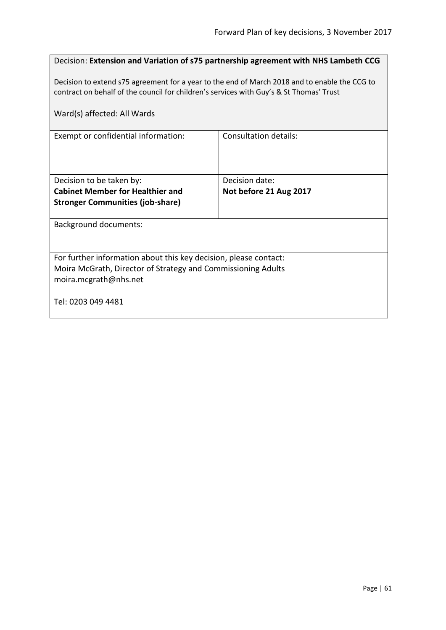| Decision: Extension and Variation of s75 partnership agreement with NHS Lambeth CCG                                                                                                      |                        |  |
|------------------------------------------------------------------------------------------------------------------------------------------------------------------------------------------|------------------------|--|
| Decision to extend s75 agreement for a year to the end of March 2018 and to enable the CCG to<br>contract on behalf of the council for children's services with Guy's & St Thomas' Trust |                        |  |
| Ward(s) affected: All Wards                                                                                                                                                              |                        |  |
| Consultation details:<br>Exempt or confidential information:                                                                                                                             |                        |  |
|                                                                                                                                                                                          |                        |  |
| Decision to be taken by:                                                                                                                                                                 | Decision date:         |  |
| <b>Cabinet Member for Healthier and</b>                                                                                                                                                  | Not before 21 Aug 2017 |  |
| <b>Stronger Communities (job-share)</b>                                                                                                                                                  |                        |  |
| <b>Background documents:</b>                                                                                                                                                             |                        |  |
|                                                                                                                                                                                          |                        |  |
| For further information about this key decision, please contact:                                                                                                                         |                        |  |
| Moira McGrath, Director of Strategy and Commissioning Adults                                                                                                                             |                        |  |
| moira.mcgrath@nhs.net                                                                                                                                                                    |                        |  |
| Tel: 0203 049 4481                                                                                                                                                                       |                        |  |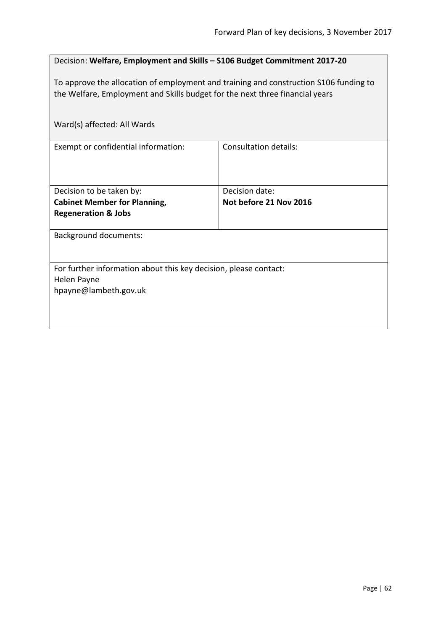| Decision: Welfare, Employment and Skills - S106 Budget Commitment 2017-20                                                                                             |                        |  |
|-----------------------------------------------------------------------------------------------------------------------------------------------------------------------|------------------------|--|
| To approve the allocation of employment and training and construction S106 funding to<br>the Welfare, Employment and Skills budget for the next three financial years |                        |  |
| Ward(s) affected: All Wards                                                                                                                                           |                        |  |
| Exempt or confidential information:                                                                                                                                   | Consultation details:  |  |
| Decision to be taken by:                                                                                                                                              | Decision date:         |  |
| <b>Cabinet Member for Planning,</b>                                                                                                                                   | Not before 21 Nov 2016 |  |
| <b>Regeneration &amp; Jobs</b>                                                                                                                                        |                        |  |
| <b>Background documents:</b>                                                                                                                                          |                        |  |
| For further information about this key decision, please contact:                                                                                                      |                        |  |
| Helen Payne                                                                                                                                                           |                        |  |
| hpayne@lambeth.gov.uk                                                                                                                                                 |                        |  |
|                                                                                                                                                                       |                        |  |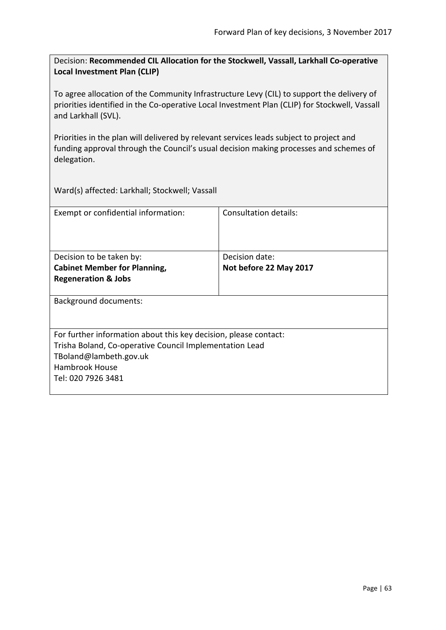Decision: **Recommended CIL Allocation for the Stockwell, Vassall, Larkhall Co-operative Local Investment Plan (CLIP)**

To agree allocation of the Community Infrastructure Levy (CIL) to support the delivery of priorities identified in the Co-operative Local Investment Plan (CLIP) for Stockwell, Vassall and Larkhall (SVL).

Priorities in the plan will delivered by relevant services leads subject to project and funding approval through the Council's usual decision making processes and schemes of delegation.

Ward(s) affected: Larkhall; Stockwell; Vassall

| Exempt or confidential information:                              | Consultation details:  |
|------------------------------------------------------------------|------------------------|
| Decision to be taken by:                                         | Decision date:         |
| <b>Cabinet Member for Planning,</b>                              | Not before 22 May 2017 |
| <b>Regeneration &amp; Jobs</b>                                   |                        |
| <b>Background documents:</b>                                     |                        |
| For further information about this key decision, please contact: |                        |
| Trisha Boland, Co-operative Council Implementation Lead          |                        |
| TBoland@lambeth.gov.uk                                           |                        |
| Hambrook House                                                   |                        |
| Tel: 020 7926 3481                                               |                        |
|                                                                  |                        |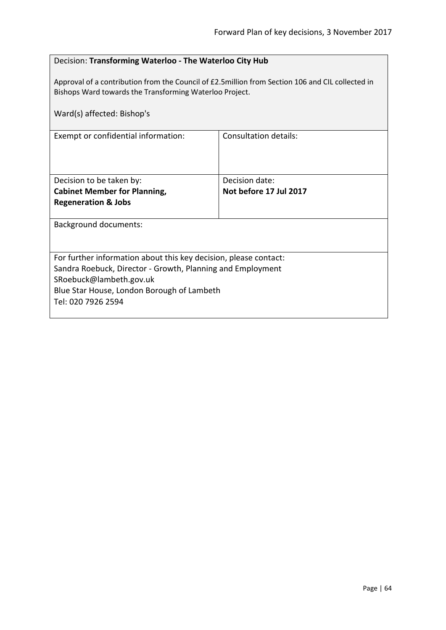| Decision: Transforming Waterloo - The Waterloo City Hub                                                                                                      |                        |  |
|--------------------------------------------------------------------------------------------------------------------------------------------------------------|------------------------|--|
| Approval of a contribution from the Council of £2.5 million from Section 106 and CIL collected in<br>Bishops Ward towards the Transforming Waterloo Project. |                        |  |
| Ward(s) affected: Bishop's                                                                                                                                   |                        |  |
| Exempt or confidential information:                                                                                                                          | Consultation details:  |  |
|                                                                                                                                                              |                        |  |
| Decision to be taken by:                                                                                                                                     | Decision date:         |  |
| <b>Cabinet Member for Planning,</b>                                                                                                                          | Not before 17 Jul 2017 |  |
| <b>Regeneration &amp; Jobs</b>                                                                                                                               |                        |  |
| <b>Background documents:</b>                                                                                                                                 |                        |  |
|                                                                                                                                                              |                        |  |
| For further information about this key decision, please contact:                                                                                             |                        |  |
| Sandra Roebuck, Director - Growth, Planning and Employment                                                                                                   |                        |  |
| SRoebuck@lambeth.gov.uk                                                                                                                                      |                        |  |
| Blue Star House, London Borough of Lambeth                                                                                                                   |                        |  |
| Tel: 020 7926 2594                                                                                                                                           |                        |  |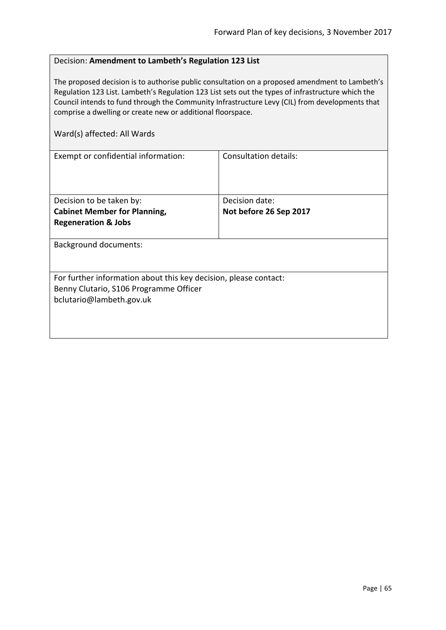#### Decision: **Amendment to Lambeth's Regulation 123 List**

The proposed decision is to authorise public consultation on a proposed amendment to Lambeth's Regulation 123 List. Lambeth's Regulation 123 List sets out the types of infrastructure which the Council intends to fund through the Community Infrastructure Levy (CIL) from developments that comprise a dwelling or create new or additional floorspace.

| Exempt or confidential information:                              | Consultation details:  |
|------------------------------------------------------------------|------------------------|
|                                                                  |                        |
|                                                                  |                        |
|                                                                  |                        |
| Decision to be taken by:                                         | Decision date:         |
| <b>Cabinet Member for Planning,</b>                              | Not before 26 Sep 2017 |
| <b>Regeneration &amp; Jobs</b>                                   |                        |
|                                                                  |                        |
| <b>Background documents:</b>                                     |                        |
|                                                                  |                        |
|                                                                  |                        |
| For further information about this key decision, please contact: |                        |
| Benny Clutario, S106 Programme Officer                           |                        |
| bclutario@lambeth.gov.uk                                         |                        |
|                                                                  |                        |
|                                                                  |                        |
|                                                                  |                        |
|                                                                  |                        |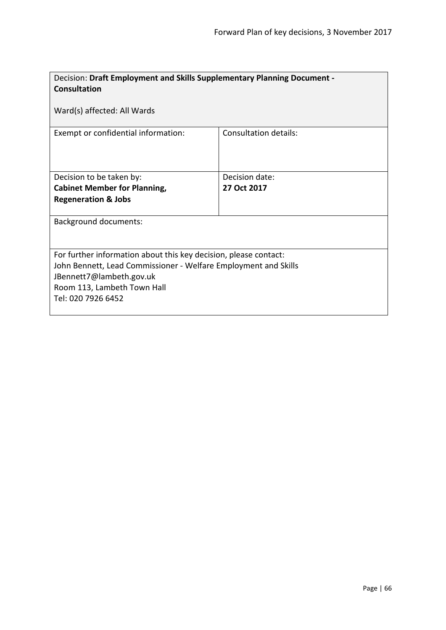| Decision: Draft Employment and Skills Supplementary Planning Document -                     |                       |  |
|---------------------------------------------------------------------------------------------|-----------------------|--|
| <b>Consultation</b>                                                                         |                       |  |
|                                                                                             |                       |  |
| Ward(s) affected: All Wards                                                                 |                       |  |
|                                                                                             |                       |  |
| Exempt or confidential information:                                                         | Consultation details: |  |
|                                                                                             |                       |  |
|                                                                                             |                       |  |
|                                                                                             |                       |  |
| Decision to be taken by:                                                                    | Decision date:        |  |
| <b>Cabinet Member for Planning,</b>                                                         | 27 Oct 2017           |  |
| <b>Regeneration &amp; Jobs</b>                                                              |                       |  |
|                                                                                             |                       |  |
| <b>Background documents:</b>                                                                |                       |  |
|                                                                                             |                       |  |
|                                                                                             |                       |  |
| For further information about this key decision, please contact:                            |                       |  |
| John Bennett, Lead Commissioner - Welfare Employment and Skills<br>JBennett7@lambeth.gov.uk |                       |  |
| Room 113, Lambeth Town Hall                                                                 |                       |  |
| Tel: 020 7926 6452                                                                          |                       |  |
|                                                                                             |                       |  |
|                                                                                             |                       |  |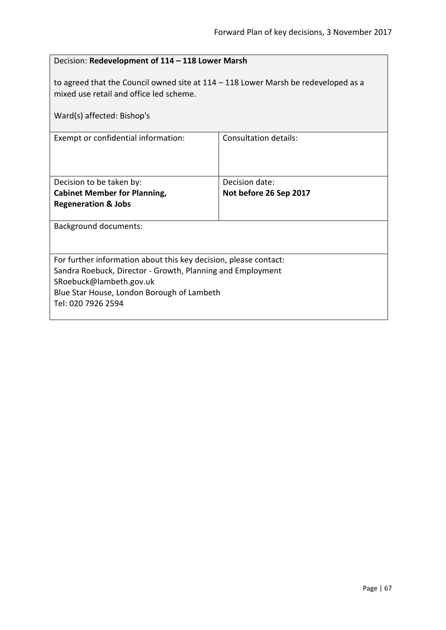| Decision: Redevelopment of 114 - 118 Lower Marsh                                                                                                                                                                              |                                          |  |
|-------------------------------------------------------------------------------------------------------------------------------------------------------------------------------------------------------------------------------|------------------------------------------|--|
| to agreed that the Council owned site at $114 - 118$ Lower Marsh be redeveloped as a<br>mixed use retail and office led scheme.                                                                                               |                                          |  |
| Ward(s) affected: Bishop's                                                                                                                                                                                                    |                                          |  |
| Exempt or confidential information:                                                                                                                                                                                           | Consultation details:                    |  |
| Decision to be taken by:<br><b>Cabinet Member for Planning,</b>                                                                                                                                                               | Decision date:<br>Not before 26 Sep 2017 |  |
| <b>Regeneration &amp; Jobs</b>                                                                                                                                                                                                |                                          |  |
| <b>Background documents:</b>                                                                                                                                                                                                  |                                          |  |
| For further information about this key decision, please contact:<br>Sandra Roebuck, Director - Growth, Planning and Employment<br>SRoebuck@lambeth.gov.uk<br>Blue Star House, London Borough of Lambeth<br>Tel: 020 7926 2594 |                                          |  |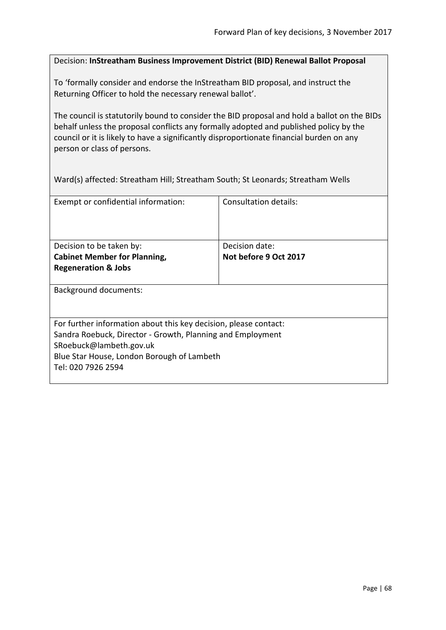### Decision: **InStreatham Business Improvement District (BID) Renewal Ballot Proposal**

To 'formally consider and endorse the InStreatham BID proposal, and instruct the Returning Officer to hold the necessary renewal ballot'.

The council is statutorily bound to consider the BID proposal and hold a ballot on the BIDs behalf unless the proposal conflicts any formally adopted and published policy by the council or it is likely to have a significantly disproportionate financial burden on any person or class of persons.

Ward(s) affected: Streatham Hill; Streatham South; St Leonards; Streatham Wells

| Exempt or confidential information:                              | Consultation details: |  |
|------------------------------------------------------------------|-----------------------|--|
| Decision to be taken by:                                         | Decision date:        |  |
| <b>Cabinet Member for Planning,</b>                              | Not before 9 Oct 2017 |  |
| <b>Regeneration &amp; Jobs</b>                                   |                       |  |
| Background documents:                                            |                       |  |
| For further information about this key decision, please contact: |                       |  |
| Sandra Roebuck, Director - Growth, Planning and Employment       |                       |  |
| SRoebuck@lambeth.gov.uk                                          |                       |  |
| Blue Star House, London Borough of Lambeth                       |                       |  |
| Tel: 020 7926 2594                                               |                       |  |
|                                                                  |                       |  |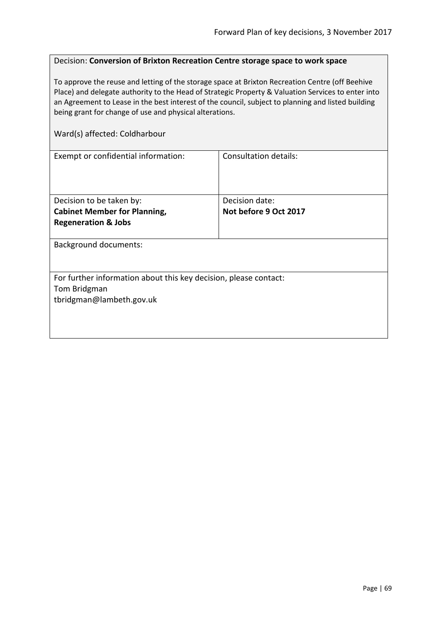#### Decision: **Conversion of Brixton Recreation Centre storage space to work space**

To approve the reuse and letting of the storage space at Brixton Recreation Centre (off Beehive Place) and delegate authority to the Head of Strategic Property & Valuation Services to enter into an Agreement to Lease in the best interest of the council, subject to planning and listed building being grant for change of use and physical alterations.

#### Ward(s) affected: Coldharbour

| Exempt or confidential information:                              | Consultation details: |  |
|------------------------------------------------------------------|-----------------------|--|
|                                                                  |                       |  |
|                                                                  |                       |  |
|                                                                  |                       |  |
| Decision to be taken by:                                         | Decision date:        |  |
| <b>Cabinet Member for Planning,</b>                              | Not before 9 Oct 2017 |  |
| <b>Regeneration &amp; Jobs</b>                                   |                       |  |
|                                                                  |                       |  |
| <b>Background documents:</b>                                     |                       |  |
|                                                                  |                       |  |
|                                                                  |                       |  |
| For further information about this key decision, please contact: |                       |  |
| Tom Bridgman                                                     |                       |  |
| tbridgman@lambeth.gov.uk                                         |                       |  |
|                                                                  |                       |  |
|                                                                  |                       |  |
|                                                                  |                       |  |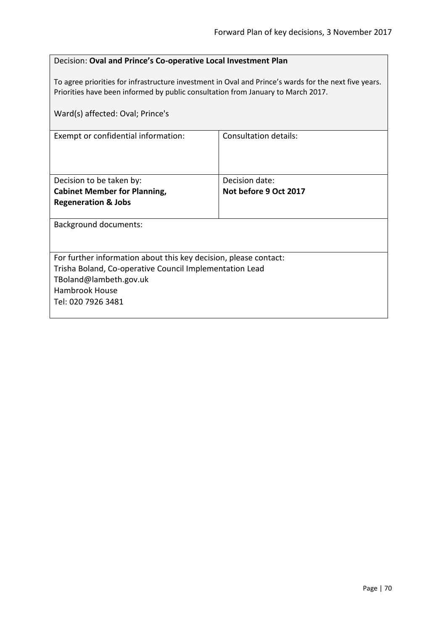| Decision: Oval and Prince's Co-operative Local Investment Plan                                                                                                                            |                              |  |
|-------------------------------------------------------------------------------------------------------------------------------------------------------------------------------------------|------------------------------|--|
| To agree priorities for infrastructure investment in Oval and Prince's wards for the next five years.<br>Priorities have been informed by public consultation from January to March 2017. |                              |  |
| Ward(s) affected: Oval; Prince's                                                                                                                                                          |                              |  |
| Exempt or confidential information:                                                                                                                                                       | <b>Consultation details:</b> |  |
|                                                                                                                                                                                           |                              |  |
| Decision to be taken by:                                                                                                                                                                  | Decision date:               |  |
| <b>Cabinet Member for Planning,</b>                                                                                                                                                       | Not before 9 Oct 2017        |  |
| <b>Regeneration &amp; Jobs</b>                                                                                                                                                            |                              |  |
| <b>Background documents:</b>                                                                                                                                                              |                              |  |
|                                                                                                                                                                                           |                              |  |
| For further information about this key decision, please contact:                                                                                                                          |                              |  |
| Trisha Boland, Co-operative Council Implementation Lead                                                                                                                                   |                              |  |
| TBoland@lambeth.gov.uk                                                                                                                                                                    |                              |  |
| Hambrook House                                                                                                                                                                            |                              |  |
| Tel: 020 7926 3481                                                                                                                                                                        |                              |  |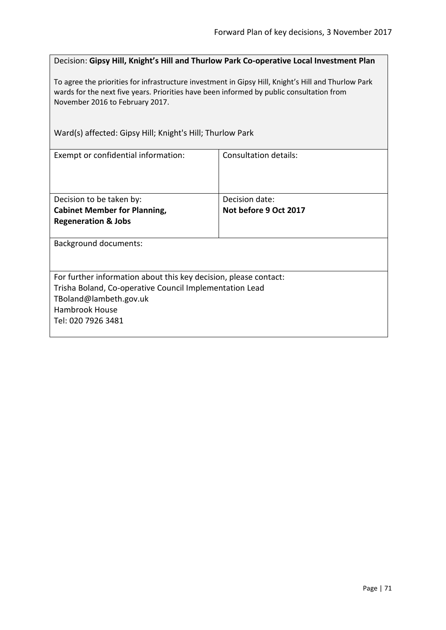Decision: **Gipsy Hill, Knight's Hill and Thurlow Park Co-operative Local Investment Plan**

To agree the priorities for infrastructure investment in Gipsy Hill, Knight's Hill and Thurlow Park wards for the next five years. Priorities have been informed by public consultation from November 2016 to February 2017.

Ward(s) affected: Gipsy Hill; Knight's Hill; Thurlow Park

| Exempt or confidential information:                              | Consultation details: |
|------------------------------------------------------------------|-----------------------|
|                                                                  |                       |
| Decision to be taken by:                                         | Decision date:        |
| <b>Cabinet Member for Planning,</b>                              | Not before 9 Oct 2017 |
| <b>Regeneration &amp; Jobs</b>                                   |                       |
| <b>Background documents:</b>                                     |                       |
| For further information about this key decision, please contact: |                       |
| Trisha Boland, Co-operative Council Implementation Lead          |                       |
| TBoland@lambeth.gov.uk                                           |                       |
| Hambrook House                                                   |                       |
| Tel: 020 7926 3481                                               |                       |
|                                                                  |                       |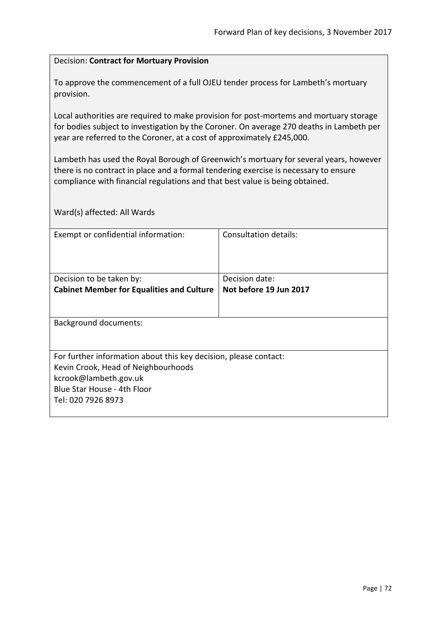#### Decision: **Contract for Mortuary Provision**

To approve the commencement of a full OJEU tender process for Lambeth's mortuary provision.

Local authorities are required to make provision for post-mortems and mortuary storage for bodies subject to investigation by the Coroner. On average 270 deaths in Lambeth per year are referred to the Coroner, at a cost of approximately £245,000.

Lambeth has used the Royal Borough of Greenwich's mortuary for several years, however there is no contract in place and a formal tendering exercise is necessary to ensure compliance with financial regulations and that best value is being obtained.

| Exempt or confidential information:                              | Consultation details:  |
|------------------------------------------------------------------|------------------------|
|                                                                  |                        |
|                                                                  |                        |
| Decision to be taken by:                                         | Decision date:         |
| <b>Cabinet Member for Equalities and Culture</b>                 | Not before 19 Jun 2017 |
|                                                                  |                        |
|                                                                  |                        |
| <b>Background documents:</b>                                     |                        |
|                                                                  |                        |
| For further information about this key decision, please contact: |                        |
| Kevin Crook, Head of Neighbourhoods                              |                        |
| kcrook@lambeth.gov.uk                                            |                        |
| Blue Star House - 4th Floor                                      |                        |
| Tel: 020 7926 8973                                               |                        |
|                                                                  |                        |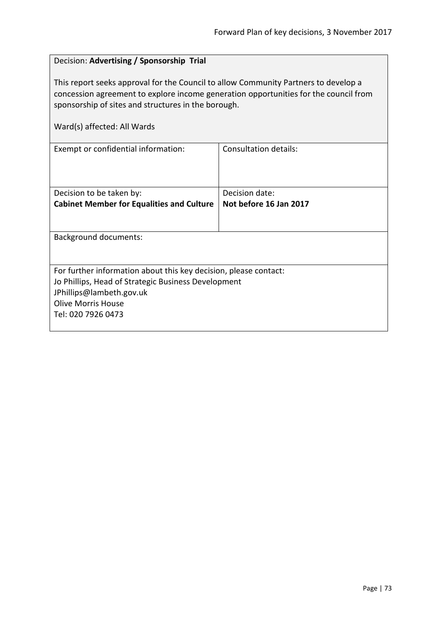## Decision: **Advertising / Sponsorship Trial** This report seeks approval for the Council to allow Community Partners to develop a concession agreement to explore income generation opportunities for the council from sponsorship of sites and structures in the borough. Ward(s) affected: All Wards Exempt or confidential information: Consultation details: Decision to be taken by: **Cabinet Member for Equalities and Culture** Decision date: **Not before 16 Jan 2017** Background documents: For further information about this key decision, please contact: Jo Phillips, Head of Strategic Business Development JPhillips@lambeth.gov.uk Olive Morris House Tel: 020 7926 0473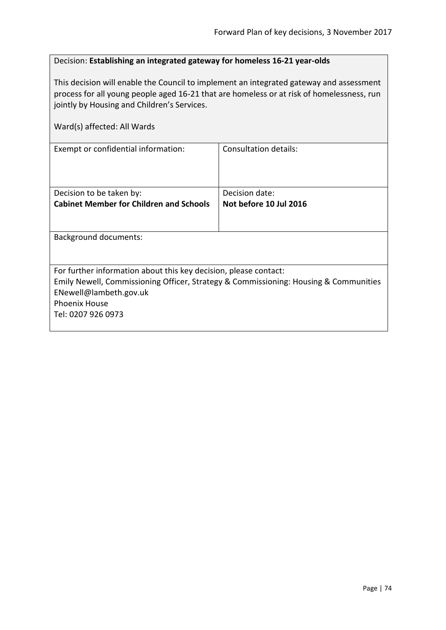This decision will enable the Council to implement an integrated gateway and assessment process for all young people aged 16-21 that are homeless or at risk of homelessness, run jointly by Housing and Children's Services.

| Ward(s) affected: All Wards                                                                                                                                                                                                      |                                          |
|----------------------------------------------------------------------------------------------------------------------------------------------------------------------------------------------------------------------------------|------------------------------------------|
| Exempt or confidential information:                                                                                                                                                                                              | Consultation details:                    |
| Decision to be taken by:<br><b>Cabinet Member for Children and Schools</b>                                                                                                                                                       | Decision date:<br>Not before 10 Jul 2016 |
| <b>Background documents:</b>                                                                                                                                                                                                     |                                          |
| For further information about this key decision, please contact:<br>Emily Newell, Commissioning Officer, Strategy & Commissioning: Housing & Communities<br>ENewell@lambeth.gov.uk<br><b>Phoenix House</b><br>Tel: 0207 926 0973 |                                          |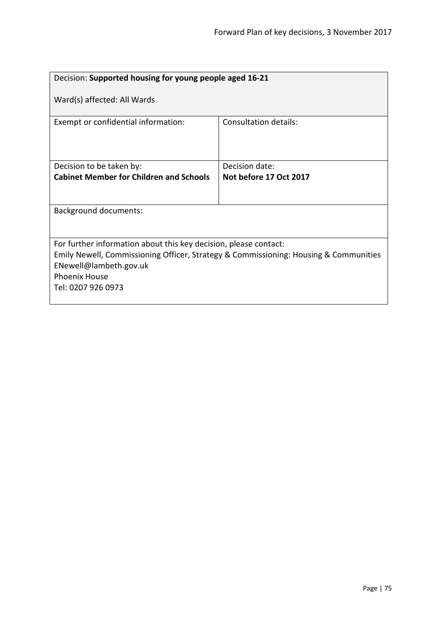| Decision: Supported housing for young people aged 16-21                                                                                                                                                                          |                        |  |
|----------------------------------------------------------------------------------------------------------------------------------------------------------------------------------------------------------------------------------|------------------------|--|
| Ward(s) affected: All Wards                                                                                                                                                                                                      |                        |  |
| Exempt or confidential information:                                                                                                                                                                                              | Consultation details:  |  |
| Decision to be taken by:                                                                                                                                                                                                         | Decision date:         |  |
| <b>Cabinet Member for Children and Schools</b>                                                                                                                                                                                   | Not before 17 Oct 2017 |  |
|                                                                                                                                                                                                                                  |                        |  |
| <b>Background documents:</b>                                                                                                                                                                                                     |                        |  |
|                                                                                                                                                                                                                                  |                        |  |
| For further information about this key decision, please contact:<br>Emily Newell, Commissioning Officer, Strategy & Commissioning: Housing & Communities<br>ENewell@lambeth.gov.uk<br><b>Phoenix House</b><br>Tel: 0207 926 0973 |                        |  |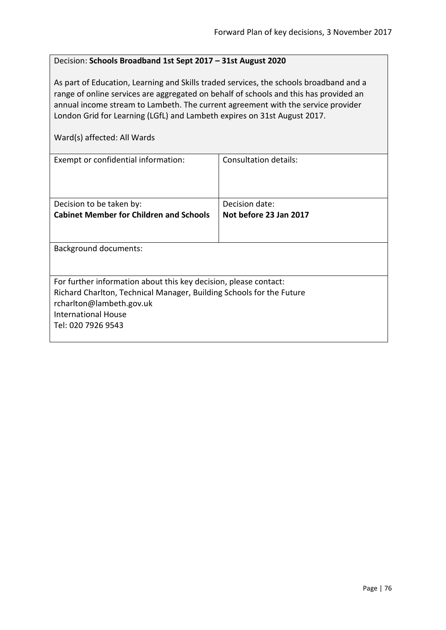## Decision: **Schools Broadband 1st Sept 2017 – 31st August 2020**

As part of Education, Learning and Skills traded services, the schools broadband and a range of online services are aggregated on behalf of schools and this has provided an annual income stream to Lambeth. The current agreement with the service provider London Grid for Learning (LGfL) and Lambeth expires on 31st August 2017.

Ward(s) affected: All Wards

| Exempt or confidential information:                                                                                                                                                                                      | Consultation details:  |
|--------------------------------------------------------------------------------------------------------------------------------------------------------------------------------------------------------------------------|------------------------|
| Decision to be taken by:                                                                                                                                                                                                 | Decision date:         |
| <b>Cabinet Member for Children and Schools</b>                                                                                                                                                                           | Not before 23 Jan 2017 |
|                                                                                                                                                                                                                          |                        |
| <b>Background documents:</b>                                                                                                                                                                                             |                        |
| For further information about this key decision, please contact:<br>Richard Charlton, Technical Manager, Building Schools for the Future<br>rcharlton@lambeth.gov.uk<br><b>International House</b><br>Tel: 020 7926 9543 |                        |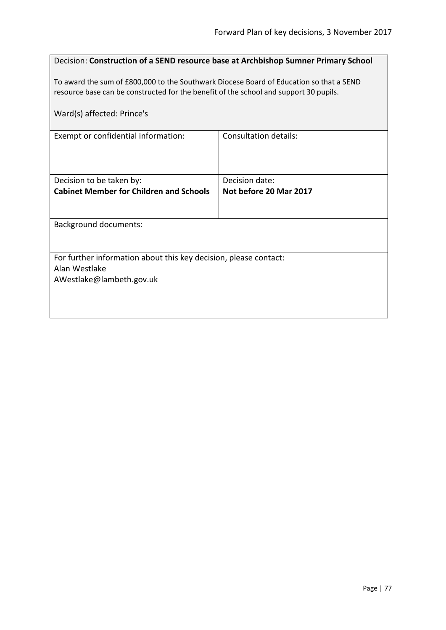| Decision: Construction of a SEND resource base at Archbishop Sumner Primary School                                                                                               |                                          |  |
|----------------------------------------------------------------------------------------------------------------------------------------------------------------------------------|------------------------------------------|--|
| To award the sum of £800,000 to the Southwark Diocese Board of Education so that a SEND<br>resource base can be constructed for the benefit of the school and support 30 pupils. |                                          |  |
| Ward(s) affected: Prince's                                                                                                                                                       |                                          |  |
| Exempt or confidential information:                                                                                                                                              | Consultation details:                    |  |
| Decision to be taken by:<br><b>Cabinet Member for Children and Schools</b>                                                                                                       | Decision date:<br>Not before 20 Mar 2017 |  |
| <b>Background documents:</b>                                                                                                                                                     |                                          |  |
| For further information about this key decision, please contact:<br>Alan Westlake<br>AWestlake@lambeth.gov.uk                                                                    |                                          |  |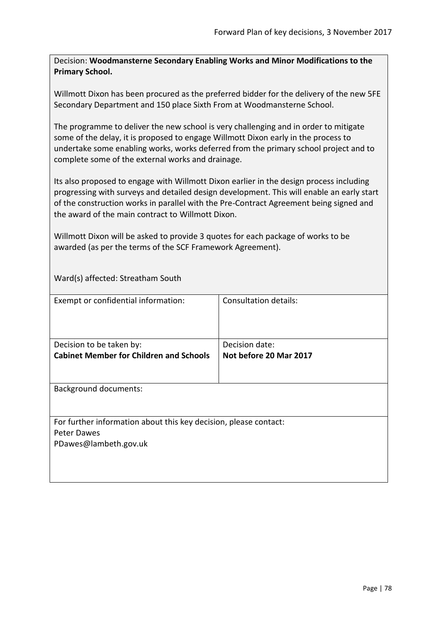Decision: **Woodmansterne Secondary Enabling Works and Minor Modifications to the Primary School.**

Willmott Dixon has been procured as the preferred bidder for the delivery of the new 5FE Secondary Department and 150 place Sixth From at Woodmansterne School.

The programme to deliver the new school is very challenging and in order to mitigate some of the delay, it is proposed to engage Willmott Dixon early in the process to undertake some enabling works, works deferred from the primary school project and to complete some of the external works and drainage.

Its also proposed to engage with Willmott Dixon earlier in the design process including progressing with surveys and detailed design development. This will enable an early start of the construction works in parallel with the Pre-Contract Agreement being signed and the award of the main contract to Willmott Dixon.

Willmott Dixon will be asked to provide 3 quotes for each package of works to be awarded (as per the terms of the SCF Framework Agreement).

Ward(s) affected: Streatham South

| Exempt or confidential information:                                                                      | Consultation details:                    |
|----------------------------------------------------------------------------------------------------------|------------------------------------------|
| Decision to be taken by:<br><b>Cabinet Member for Children and Schools</b>                               | Decision date:<br>Not before 20 Mar 2017 |
| <b>Background documents:</b>                                                                             |                                          |
| For further information about this key decision, please contact:<br>Peter Dawes<br>PDawes@lambeth.gov.uk |                                          |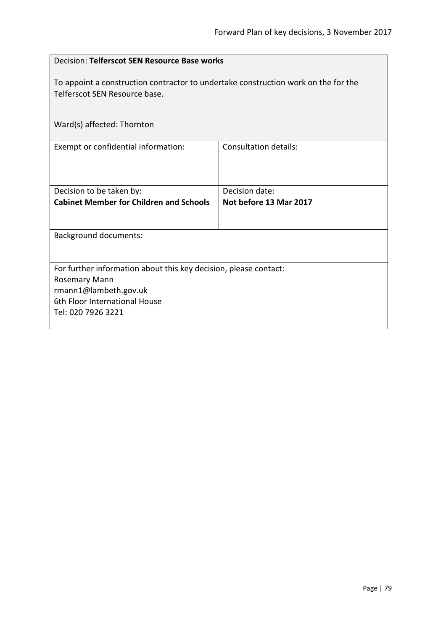| Decision: Telferscot SEN Resource Base works                                                                        |                        |
|---------------------------------------------------------------------------------------------------------------------|------------------------|
| To appoint a construction contractor to undertake construction work on the for the<br>Telferscot SEN Resource base. |                        |
| Ward(s) affected: Thornton                                                                                          |                        |
| Exempt or confidential information:                                                                                 | Consultation details:  |
| Decision to be taken by:                                                                                            | Decision date:         |
| <b>Cabinet Member for Children and Schools</b>                                                                      | Not before 13 Mar 2017 |
| <b>Background documents:</b>                                                                                        |                        |
| For further information about this key decision, please contact:                                                    |                        |
| <b>Rosemary Mann</b><br>rmann1@lambeth.gov.uk                                                                       |                        |
| 6th Floor International House                                                                                       |                        |
| Tel: 020 7926 3221                                                                                                  |                        |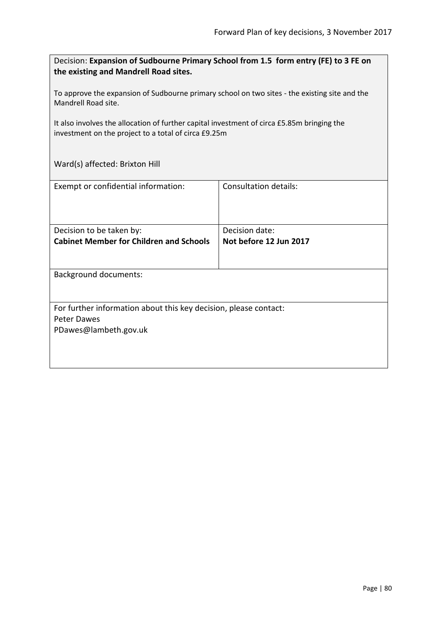Decision: **Expansion of Sudbourne Primary School from 1.5 form entry (FE) to 3 FE on the existing and Mandrell Road sites.**

To approve the expansion of Sudbourne primary school on two sites - the existing site and the Mandrell Road site.

It also involves the allocation of further capital investment of circa £5.85m bringing the investment on the project to a total of circa £9.25m

Ward(s) affected: Brixton Hill

| Exempt or confidential information:                              | Consultation details:  |
|------------------------------------------------------------------|------------------------|
|                                                                  |                        |
|                                                                  |                        |
| Decision to be taken by:                                         | Decision date:         |
| <b>Cabinet Member for Children and Schools</b>                   | Not before 12 Jun 2017 |
|                                                                  |                        |
|                                                                  |                        |
| <b>Background documents:</b>                                     |                        |
|                                                                  |                        |
|                                                                  |                        |
| For further information about this key decision, please contact: |                        |
| Peter Dawes                                                      |                        |
| PDawes@lambeth.gov.uk                                            |                        |
|                                                                  |                        |
|                                                                  |                        |
|                                                                  |                        |